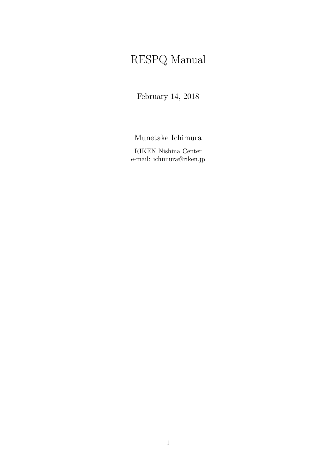# RESPQ Manual

February 14, 2018

Munetake Ichimura

RIKEN Nishina Center e-mail: ichimura@riken.jp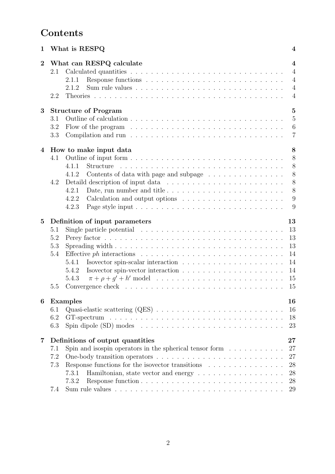## **Contents**

| 1                                                                                  | What is RESPQ |                                                                                               |                                                                                        |  |  |  |  |  |  |
|------------------------------------------------------------------------------------|---------------|-----------------------------------------------------------------------------------------------|----------------------------------------------------------------------------------------|--|--|--|--|--|--|
| $\overline{2}$                                                                     | 2.1<br>2.2    | What can RESPQ calculate<br>2.1.1<br>2.1.2                                                    | $\overline{4}$<br>$\overline{4}$<br>$\overline{4}$<br>$\overline{4}$<br>$\overline{4}$ |  |  |  |  |  |  |
| 3                                                                                  |               | <b>Structure of Program</b>                                                                   | $\overline{5}$                                                                         |  |  |  |  |  |  |
|                                                                                    | 3.1           |                                                                                               | $\overline{5}$                                                                         |  |  |  |  |  |  |
|                                                                                    | 3.2           | Flow of the program $\dots \dots \dots \dots \dots \dots \dots \dots \dots \dots \dots \dots$ | 6                                                                                      |  |  |  |  |  |  |
|                                                                                    | 3.3           |                                                                                               | $\overline{7}$                                                                         |  |  |  |  |  |  |
| 4                                                                                  |               | How to make input data                                                                        | 8                                                                                      |  |  |  |  |  |  |
|                                                                                    | 4.1           |                                                                                               | 8                                                                                      |  |  |  |  |  |  |
|                                                                                    |               | 4.1.1<br>Structure                                                                            | 8                                                                                      |  |  |  |  |  |  |
|                                                                                    |               | Contents of data with page and subpage<br>4.1.2                                               | 8                                                                                      |  |  |  |  |  |  |
|                                                                                    | 4.2           |                                                                                               | 8                                                                                      |  |  |  |  |  |  |
|                                                                                    |               | 4.2.1                                                                                         | 8                                                                                      |  |  |  |  |  |  |
|                                                                                    |               | 4.2.2                                                                                         | 9                                                                                      |  |  |  |  |  |  |
|                                                                                    |               | 4.2.3                                                                                         | 9                                                                                      |  |  |  |  |  |  |
| $\overline{5}$                                                                     |               | Definition of input parameters                                                                | 13                                                                                     |  |  |  |  |  |  |
|                                                                                    | 5.1           | Single particle potential $\ldots \ldots \ldots \ldots \ldots \ldots \ldots \ldots \ldots$    | 13                                                                                     |  |  |  |  |  |  |
|                                                                                    | 5.2           |                                                                                               | 13                                                                                     |  |  |  |  |  |  |
|                                                                                    | 5.3           |                                                                                               | 13                                                                                     |  |  |  |  |  |  |
|                                                                                    | 5.4           |                                                                                               | 14                                                                                     |  |  |  |  |  |  |
|                                                                                    |               | 5.4.1                                                                                         | 14                                                                                     |  |  |  |  |  |  |
|                                                                                    |               | 5.4.2                                                                                         | 14                                                                                     |  |  |  |  |  |  |
|                                                                                    |               | 5.4.3                                                                                         | 15                                                                                     |  |  |  |  |  |  |
|                                                                                    | 5.5           |                                                                                               | 15                                                                                     |  |  |  |  |  |  |
| 6                                                                                  |               | <b>Examples</b>                                                                               | 16                                                                                     |  |  |  |  |  |  |
|                                                                                    | 6.1           |                                                                                               | 16                                                                                     |  |  |  |  |  |  |
|                                                                                    | 6.2           |                                                                                               | 18                                                                                     |  |  |  |  |  |  |
|                                                                                    | 6.3           |                                                                                               | 23                                                                                     |  |  |  |  |  |  |
| $\overline{7}$                                                                     |               | Definitions of output quantities                                                              |                                                                                        |  |  |  |  |  |  |
| Spin and isospin operators in the spherical tensor form $\dots \dots \dots$<br>7.1 |               |                                                                                               |                                                                                        |  |  |  |  |  |  |
|                                                                                    | 7.2           |                                                                                               | 27                                                                                     |  |  |  |  |  |  |
|                                                                                    | 7.3           | Response functions for the isovector transitions $\ldots \ldots \ldots \ldots$                | 28                                                                                     |  |  |  |  |  |  |
|                                                                                    |               | 7.3.1                                                                                         | 28                                                                                     |  |  |  |  |  |  |
|                                                                                    |               | 7.3.2                                                                                         | 28                                                                                     |  |  |  |  |  |  |
|                                                                                    | 7.4           |                                                                                               | 29                                                                                     |  |  |  |  |  |  |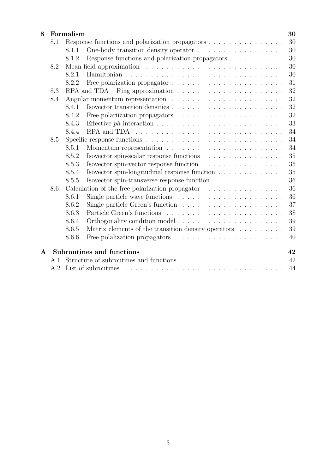| 8 |     | Formalism |                                                                                                                                                                                                                                                                                                                                                                                                                                      | 30 |  |  |  |  |  |
|---|-----|-----------|--------------------------------------------------------------------------------------------------------------------------------------------------------------------------------------------------------------------------------------------------------------------------------------------------------------------------------------------------------------------------------------------------------------------------------------|----|--|--|--|--|--|
|   | 8.1 |           | Response functions and polarization propagators                                                                                                                                                                                                                                                                                                                                                                                      | 30 |  |  |  |  |  |
|   |     | 8.1.1     |                                                                                                                                                                                                                                                                                                                                                                                                                                      | 30 |  |  |  |  |  |
|   |     | 8.1.2     |                                                                                                                                                                                                                                                                                                                                                                                                                                      | 30 |  |  |  |  |  |
|   | 8.2 |           |                                                                                                                                                                                                                                                                                                                                                                                                                                      | 30 |  |  |  |  |  |
|   |     | 8.2.1     |                                                                                                                                                                                                                                                                                                                                                                                                                                      | 30 |  |  |  |  |  |
|   |     | 8.2.2     |                                                                                                                                                                                                                                                                                                                                                                                                                                      | 31 |  |  |  |  |  |
|   | 8.3 |           | RPA and TDA – Ring approximation $\dots \dots \dots \dots \dots \dots \dots \dots$                                                                                                                                                                                                                                                                                                                                                   | 32 |  |  |  |  |  |
|   | 8.4 |           |                                                                                                                                                                                                                                                                                                                                                                                                                                      |    |  |  |  |  |  |
|   |     | 8.4.1     |                                                                                                                                                                                                                                                                                                                                                                                                                                      | 32 |  |  |  |  |  |
|   |     | 8.4.2     |                                                                                                                                                                                                                                                                                                                                                                                                                                      | 32 |  |  |  |  |  |
|   |     | 8.4.3     |                                                                                                                                                                                                                                                                                                                                                                                                                                      | 33 |  |  |  |  |  |
|   |     | 8.4.4     | RPA and TDA $\ldots \ldots \ldots \ldots \ldots \ldots \ldots \ldots \ldots \ldots$                                                                                                                                                                                                                                                                                                                                                  | 34 |  |  |  |  |  |
|   | 8.5 |           |                                                                                                                                                                                                                                                                                                                                                                                                                                      |    |  |  |  |  |  |
|   |     | 8.5.1     |                                                                                                                                                                                                                                                                                                                                                                                                                                      | 34 |  |  |  |  |  |
|   |     | 8.5.2     | Isovector spin-scalar response functions $\ldots \ldots \ldots \ldots \ldots$                                                                                                                                                                                                                                                                                                                                                        | 35 |  |  |  |  |  |
|   |     | 8.5.3     | Isovector spin-vector response function                                                                                                                                                                                                                                                                                                                                                                                              | 35 |  |  |  |  |  |
|   |     | 8.5.4     | Isovector spin-longitudinal response function $\ldots \ldots \ldots \ldots \ldots$                                                                                                                                                                                                                                                                                                                                                   | 35 |  |  |  |  |  |
|   |     | 8.5.5     | Isovector spin-transverse response function                                                                                                                                                                                                                                                                                                                                                                                          | 36 |  |  |  |  |  |
|   | 8.6 |           | Calculation of the free polarization propagator $.\,.\,.\,.\,.\,.\,.\,.\,.\,.\,.\,.\,.\,.\,.\,.\,.\,.\,$                                                                                                                                                                                                                                                                                                                             | 36 |  |  |  |  |  |
|   |     | 8.6.1     | Single particle wave functions $\ldots \ldots \ldots \ldots \ldots \ldots \ldots$                                                                                                                                                                                                                                                                                                                                                    | 36 |  |  |  |  |  |
|   |     | 8.6.2     | Single particle Green's function $\ldots \ldots \ldots \ldots \ldots \ldots \ldots$                                                                                                                                                                                                                                                                                                                                                  | 37 |  |  |  |  |  |
|   |     | 8.6.3     |                                                                                                                                                                                                                                                                                                                                                                                                                                      | 38 |  |  |  |  |  |
|   |     | 8.6.4     |                                                                                                                                                                                                                                                                                                                                                                                                                                      | 39 |  |  |  |  |  |
|   |     | 8.6.5     | Matrix elements of the transition density operators                                                                                                                                                                                                                                                                                                                                                                                  | 39 |  |  |  |  |  |
|   |     | 8.6.6     |                                                                                                                                                                                                                                                                                                                                                                                                                                      | 40 |  |  |  |  |  |
| A |     |           | Subroutines and functions                                                                                                                                                                                                                                                                                                                                                                                                            | 42 |  |  |  |  |  |
|   | A.1 |           | Structure of subroutines and functions                                                                                                                                                                                                                                                                                                                                                                                               | 42 |  |  |  |  |  |
|   | A.2 |           | List of subroutines<br>$\mathcal{L}^{(1)}(\mathcal{L}^{(1)}(\mathcal{L}^{(1)}(\mathcal{L}^{(1)}(\mathcal{L}^{(1)}(\mathcal{L}^{(1)}(\mathcal{L}^{(1)}(\mathcal{L}^{(1)}(\mathcal{L}^{(1)}(\mathcal{L}^{(1)}(\mathcal{L}^{(1)}(\mathcal{L}^{(1)}(\mathcal{L}^{(1)}(\mathcal{L}^{(1)}(\mathcal{L}^{(1)}(\mathcal{L}^{(1)}(\mathcal{L}^{(1)}(\mathcal{L}^{(1)}(\mathcal{L}^{(1)}(\mathcal{L}^{(1)}(\mathcal{L}^{(1)}(\mathcal{L}^{(1)}$ | 44 |  |  |  |  |  |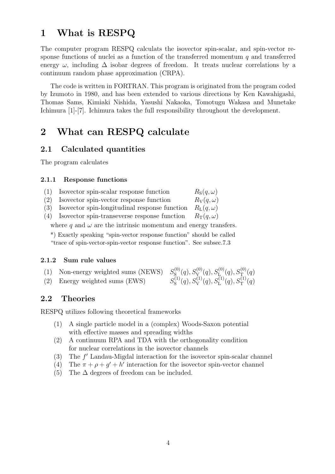## **1 What is RESPQ**

The computer program RESPQ calculats the isovector spin-scalar, and spin-vector response functions of nuclei as a function of the transferred momentum *q* and transferred energy  $\omega$ , including  $\Delta$  isobar degrees of freedom. It treats nuclear correlations by a continuum random phase approximation (CRPA).

The code is written in FORTRAN. This program is originated from the program coded by Izumoto in 1980, and has been extended to various directions by Ken Kawahigashi, Thomas Sams, Kimiaki Nishida, Yasushi Nakaoka, Tomotugu Wakasa and Munetake Ichimura [1]-[7]. Ichimura takes the full responsibility throughout the development.

## **2 What can RESPQ calculate**

### **2.1 Calculated quantities**

The program calculates

#### **2.1.1 Response functions**

| (1) | Isovector spin-scalar response function | $R_{\rm S}(q,\omega)$ |
|-----|-----------------------------------------|-----------------------|
|-----|-----------------------------------------|-----------------------|

- (2) Isovector spin-vector response function  $R_V(q,\omega)$
- (3) Isovector spin-longitudinal response function  $R_{\rm L}(q,\omega)$
- (4) Isovector spin-transeverse response function  $R_T(q,\omega)$

where  $q$  and  $\omega$  are the intrinsic momentum and energy transfers.

\*) Exactly speaking "spin-vector response function" should be called "trace of spin-vector-spin-vector response function". See subsec.7.3

#### **2.1.2 Sum rule values**

| (1) Non-energy weighted sums (NEWS) $S_S^{(0)}(q), S_V^{(0)}(q), S_L^{(0)}(q), S_T^{(0)}(q)$ |                                                                                  |
|----------------------------------------------------------------------------------------------|----------------------------------------------------------------------------------|
| (2) Energy weighted sums (EWS)                                                               | $S^{(1)}_{\rm S}(q), S^{(1)}_{\rm V}(q), S^{(1)}_{\rm L}(q), S^{(1)}_{\rm T}(q)$ |

### **2.2 Theories**

RESPQ utilizes following theoretical frameworks

- (1) A single particle model in a (complex) Woods-Saxon potential with effective masses and spreading widths
- (2) A continuum RPA and TDA with the orthogonality condition for nuclear correlations in the isovector channels
- (3) The *f ′* Landau-Migdal interaction for the isovector spin-scalar channel
- (4) The  $\pi + \rho + g' + h'$  interaction for the isovector spin-vector channel
- (5) The  $\Delta$  degrees of freedom can be included.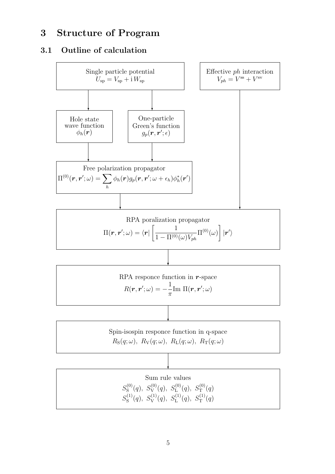## **3 Structure of Program**

## **3.1 Outline of calculation**

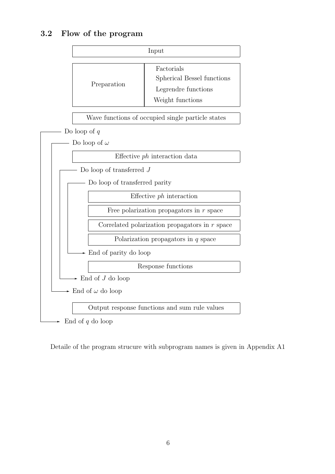## **3.2 Flow of the program**



Detaile of the program strucure with subprogram names is given in Appendix A1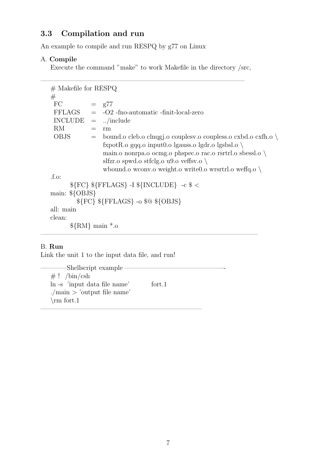## **3.3 Compilation and run**

An example to compile and run RESPQ by g77 on Linux

### A. **Compile**

Execute the command "make" to work Makefile in the directory /src,

| $#$ Makefile for RESPQ |                                                                             |
|------------------------|-----------------------------------------------------------------------------|
| #                      |                                                                             |
| FC                     | $=$ $g77$                                                                   |
|                        | $FFLAGS = -O2$ -fno-automatic-finit-local-zero                              |
| $INCLUDE = /include$   |                                                                             |
| RM.                    | rm                                                                          |
| OBJS                   | $=$ bound o cleb o clnqgj o coupless o coupless o cxbd o cxfh o $\setminus$ |
|                        | fxpotR.o gqq.o input0.o lgauss.o lgdr.o lgsbsl.o $\setminus$                |
|                        | main.o nonrpa.o ocmg.o phspec.o rac.o rsrtrl.o sbessl.o $\setminus$         |
|                        | slfzr.o spwd.o stfclg.o u9.o veffsv.o $\setminus$                           |
|                        | whound o we wonv o weight to write $0$ o write $1$ o we fig o $\setminus$   |
| f.o.                   |                                                                             |
|                        | ${\{FC\}}$ ${\{FFLAGS\} - I \ {\{INCLUDE\}} - c \ {\} <$                    |
| main: $\{OBJS\}$       |                                                                             |
|                        | ${\{FC\}}$ ${\{FFLAGS\}}$ -o $\circ$ ${\{OBJS\}}$                           |
| all: main              |                                                                             |
| clean:                 |                                                                             |
|                        | $\{RM\}$ main $*$ .0                                                        |
|                        |                                                                             |

### B. **Run**

Link the unit 1 to the input data file, and run!

-Shellscript example –  $# ! /bin/csh$ ln -s 'input data file name' fort.1 ./main *>* 'output file name' *\*rm fort.1

————————————————————————–

 $\overline{\phantom{a}}$  , and the contract of the contract of the contract of the contract of the contract of the contract of the contract of the contract of the contract of the contract of the contract of the contract of the contrac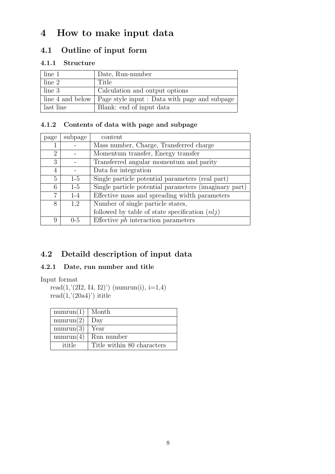## **4 How to make input data**

## **4.1 Outline of input form**

### **4.1.1 Structure**

| line 1           | Date, Run-number                              |
|------------------|-----------------------------------------------|
| line 2           | Title                                         |
| line 3           | Calculation and output options                |
| line 4 and below | Page style input : Data with page and subpage |
| last line        | Blank: end of input data                      |

### **4.1.2 Contents of data with page and subpage**

| page           | subpage | content                                               |
|----------------|---------|-------------------------------------------------------|
|                |         | Mass number, Charge, Transferred charge               |
| $\overline{2}$ |         | Momentum transfer, Energy transfer                    |
| 3              |         | Transferred angular momentum and parity               |
| 4              |         | Data for integration                                  |
| 5              | $1-5$   | Single particle potential parameters (real part)      |
| 6              | $1-5$   | Single particle potential parameters (imaginary part) |
| 7              | $1 - 4$ | Effective mass and spreading width parameters         |
| 8              | 1,2     | Number of single particle states,                     |
|                |         | followed by table of state specification $(nlj)$      |
| 9              | $0 - 5$ | Effective $ph$ interaction parameters                 |

## **4.2 Detaild description of input data**

### **4.2.1 Date, run number and title**

Input format

 $read(1, (2I2, I4, I2))$  (numrun(i), i=1,4)  $read(1,'(20a4)')$  ititle

| numrun(1) | Month                      |
|-----------|----------------------------|
| numrun(2) | Day                        |
| numrun(3) | Year                       |
| numrun(4) | Run number                 |
| ititle    | Title within 80 characters |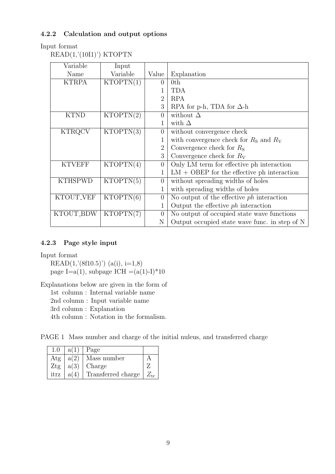### **4.2.2 Calculation and output options**

### Input format

READ(1,'(10I1)') KTOPTN

| Variable       | Input     |                |                                               |
|----------------|-----------|----------------|-----------------------------------------------|
| Name           | Variable  | Value          | Explanation                                   |
| <b>KTRPA</b>   | KTOPTN(1) | $\Omega$       | 0 <sup>th</sup>                               |
|                |           |                | <b>TDA</b>                                    |
|                |           | 2              | <b>RPA</b>                                    |
|                |           | 3              | RPA for p-h, TDA for $\Delta$ -h              |
| <b>KTND</b>    | KTOPTN(2) | $\Omega$       | without $\Delta$                              |
|                |           |                | with $\Delta$                                 |
| <b>KTRQCV</b>  | KTOPTN(3) | $\theta$       | without convergence check                     |
|                |           |                | with convergence check for $RS$ and $RV$      |
|                |           | $\overline{2}$ | Convergence check for $R_{\rm S}$             |
|                |           | 3              | Convergence check for $R_V$                   |
| <b>KTVEFF</b>  | KTOPTN(4) | $\theta$       | Only LM term for effective ph interaction     |
|                |           |                | $LM + OBEP$ for the effective ph interaction  |
| <b>KTHSPWD</b> | KTOPTN(5) | $\theta$       | without spreading widths of holes             |
|                |           |                | with spreading widths of holes                |
| KTOUT_VEF      | KTOPTN(6) | $\overline{0}$ | No output of the effective $ph$ interaction   |
|                |           |                | Output the effective $ph$ interaction         |
| KTOUT_BDW      | KTOPTN(7) | $\overline{0}$ | No output of occupied state wave functions    |
|                |           | N              | Output occupied state wave func. in step of N |

#### **4.2.3 Page style input**

Input format

 $READ(1,' (8f10.5)') (a(i), i=1,8)$ page I=a(1), subpage ICH =(a(1)-I)\*10

Explanations below are given in the form of

1st column : Internal variable name

2nd column : Input variable name

3rd column : Explanation

4th column : Notation in the formalism.

PAGE 1 Mass number and charge of the initial nuleus, and transferred charge

| 1.0  | a(1) | $Page$                      |  |
|------|------|-----------------------------|--|
| Atg  | a(2) | Mass number                 |  |
| Ztg  | a(3) | Charge                      |  |
| itrz | a(4) | Transferred charge $Z_{tr}$ |  |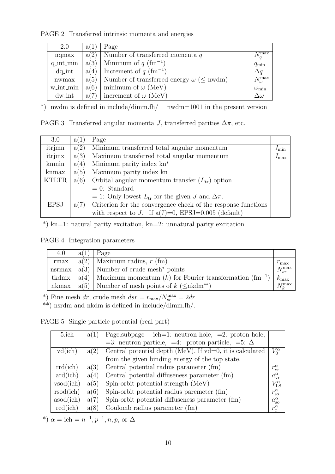PAGE 2 Transferred intrinsic momenta and energies

| 2.0       | a(1) | Page                                                        |                    |
|-----------|------|-------------------------------------------------------------|--------------------|
| nqmax     | a(2) | Number of transferred momenta $q$                           | $N_q^{\max}$       |
| q_int_min | a(3) | Minimum of $q \text{ (fm}^{-1})$                            | $q_{\min}$         |
| $dq\_int$ | a(4) | Increment of $q \text{ (fm}^{-1})$                          | $\Delta q$         |
| nwmax     |      | $a(5)$ Number of transferred energy $\omega$ ( $\leq$ nwdm) | $N_\omega^{\max}$  |
| w_int_min | a(6) | minimum of $\omega$ (MeV)                                   | $\omega_{\rm min}$ |
| $dw_$ int |      | $a(7)$ increment of $\omega$ (MeV)                          | $\Delta\omega$     |

\*) nwdm is defined in include/dimm.fh/ nwdm=1001 in the present version

| 3.0          | a(1) | Page                                                          |                |  |  |  |
|--------------|------|---------------------------------------------------------------|----------------|--|--|--|
| itrjmn       | a(2) | Minimum transferred total angular momentum                    | $J_{\min}$     |  |  |  |
| itrjmx       | a(3) | Maximum transferred total angular momentum                    | $+J_{\rm max}$ |  |  |  |
| knmin        | a(4) | Minimum parity index kn <sup>*</sup>                          |                |  |  |  |
| knmax        | a(5) | Maximum parity index kn                                       |                |  |  |  |
| <b>KTLTR</b> | a(6) | Orbital angular momentum transfer $(L_{tr})$ option           |                |  |  |  |
|              |      | $= 0$ : Standard                                              |                |  |  |  |
|              |      | = 1: Only lowest $L_{tr}$ for the given J and $\Delta \pi$ .  |                |  |  |  |
| <b>EPSJ</b>  | a(7) | Criterion for the convergence check of the response functions |                |  |  |  |
|              |      | with respect to J. If $a(7)=0$ , EPSJ=0.005 (default)         |                |  |  |  |

\*) kn=1: natural parity excitation, kn=2: unnatural parity excitation

PAGE 4 Integration parameters

| 4.0 | $ a(1) $ Page                                                                  |                 |
|-----|--------------------------------------------------------------------------------|-----------------|
|     | rmax   $a(2)$   Maximum radius, r (fm)                                         | $r_{\rm max}$   |
|     | nsrmax $ a(3) $ Number of crude mesh <sup>*</sup> points                       | $N_{sr}^{\max}$ |
|     | tkdmx   $a(4)$   Maximum momentum $(k)$ for Fourier transformation $(fm^{-1})$ | $k_{\rm max}$   |
|     | nkmax   $a(5)$   Number of mesh points of $k \leq nh \, \text{d}m^{**}$ )      | $N$ <i>max</i>  |

\*) Fine mesh  $dr$ , crude mesh  $dsr = r_{\text{max}}/N_{sr}^{\text{max}} = 2dr$ 

\*\*) nsrdm and nkdm is defined in include/dimm.fh/.

PAGE 5 Single particle potential (real part)

| 5.ich                    | a(1) | Page.subpage ich=1: neutron hole, $=2$ : proton hole,            |                       |
|--------------------------|------|------------------------------------------------------------------|-----------------------|
|                          |      | $=3$ : neutron particle, $=4$ : proton particle, $=5$ : $\Delta$ |                       |
| vd(ich)                  | a(2) | Central potential depth (MeV). If $vd=0$ , it is calculated      | $V_0^{\alpha}$        |
|                          |      | from the given binding energy of the top state.                  |                       |
| rrd(ich)                 | a(3) | Central potential radius parameter (fm)                          | $r_{\rm vr}^{\alpha}$ |
| $\text{ard}(\text{ich})$ | a(4) | Central potential diffuseness parameter (fm)                     | $a_{\rm vr}^{\alpha}$ |
| vsod(ich)                | a(5) | Spin-orbit potential strength (MeV)                              | $V_{\rm LS}^{\alpha}$ |
| rsod(ich)                | a(6) | Spin-orbit potential radius paremeter (fm)                       | $r_{\rm so}^{\alpha}$ |
| asod(ich)                | a(7) | Spin-orbit potential diffuseness parameter (fm)                  | $a_{\rm so}^{\alpha}$ |
| rcd(ich)                 | a(8) | Coulomb radius parameter (fm)                                    | $r_c^{\alpha}$        |

\*)  $\alpha = \text{ich} = n^{-1}, p^{-1}, n, p, \text{ or } \Delta$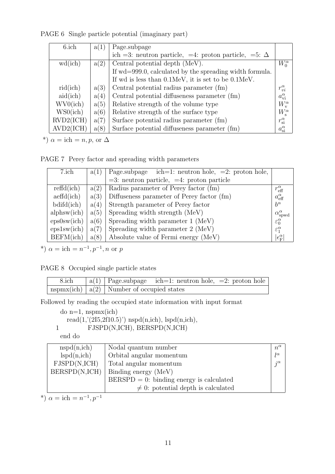PAGE 6 Single particle potential (imaginary part)

| 6.ich     | a(1) | Page.subpage                                                             |                        |
|-----------|------|--------------------------------------------------------------------------|------------------------|
|           |      | ich =3: neutron particle, =4: proton particle, =5: $\Delta$              |                        |
| wd(ich)   | a(2) | Central potential depth (MeV).                                           | $W_0^{\alpha}$         |
|           |      | If wd=999.0, calculated by the spreading width formula.                  |                        |
|           |      | If wd is less than $0.1 \text{MeV}$ , it is set to be $0.1 \text{MeV}$ . |                        |
| rid(ich)  | a(3) | Central potential radius parameter (fm)                                  | $r_{vi}^{\alpha}$      |
| aid(ich)  | a(4) | Central potential diffuseness parameter (fm)                             | $a_{\rm vi}^{\alpha}$  |
| WV0(ich)  | a(5) | Relative strength of the volume type                                     | $W_{v}^{\alpha}$       |
| WS0(ich)  | a(6) | Relative strength of the surface type                                    | $W_{\rm s}^{\alpha}$   |
| RVD2(ICH) | a(7) | Surface potential radius parameter (fm)                                  | $r_{\rm{si}}^{\alpha}$ |
| AVD2(ICH) | a(8) | Surface potential diffuseness parameter (fm)                             | $a_{\rm si}^\alpha$    |

\*)  $\alpha = \text{ich} = n, p, \text{ or } \Delta$ 

PAGE 7 Perey factor and spreading width parameters

| 7.ich                              | a(1) | Page.subpage ich=1: neutron hole, $=2$ : proton hole, |                                 |
|------------------------------------|------|-------------------------------------------------------|---------------------------------|
|                                    |      | $=3$ : neutron particle, $=4$ : proton particle       |                                 |
| refd(ich)                          | a(2) | Radius parameter of Perey factor (fm)                 | $r_{\text{eff}}^{\alpha}$       |
| $\operatorname{aeffd}(\text{ich})$ | a(3) | Diffuseness parameter of Perey factor (fm)            | $a_{\text{eff}}^{\alpha}$       |
| $b\ddot{d}f\ddot{d}$               | a(4) | Strength parameter of Perey factor                    | $b^{\alpha}$                    |
| alphsw(ich)                        | a(5) | Spreading width strength (MeV)                        | $\alpha_{\text{spwd}}^{\alpha}$ |
| eps0sw(ich)                        | a(6) | Spreading width parameter 1 (MeV)                     | $\varepsilon_0^\alpha$          |
| eps1sw(ich)                        | a(7) | Spreading width parameter 2 (MeV)                     | $\varepsilon_1^{\alpha}$        |
| BEFM(ich)                          | a(8) | Absolute value of Fermi energy (MeV)                  | $\epsilon_{\rm F}^{\alpha}$     |

\*)  $\alpha = \text{ich} = n^{-1}, p^{-1}, n \text{ or } p$ 

PAGE 8 Occupied single particle states

| 8.ich | $ a(1) $ Page.subpage ich=1: neutron hole, =2: proton hole                 |  |
|-------|----------------------------------------------------------------------------|--|
|       | $\text{nspmx}(\text{ich}) \mid a(2) \mid \text{Number of occupied states}$ |  |

Followed by reading the occupied state information with input format

```
do n=1, nspmx(ich)read(1,'(2I5,2f10.5)') nspd(n,ich), lspd(n,ich),
1 FJSPD(N,ICH), BERSPD(N,ICH)
```
end do

| nspd(n,ich)   | Nodal quantum number                        | $n^{\alpha}$ |
|---------------|---------------------------------------------|--------------|
| lspd(n,ich)   | Orbital angular momentum                    | $l^{\alpha}$ |
| FJSPD(N,ICH)  | Total angular momentum                      | $i^{\alpha}$ |
| BERSPD(N,ICH) | Binding energy (MeV)                        |              |
|               | $BERSPD = 0$ : binding energy is calculated |              |
|               | $\neq$ 0: potential depth is calculated     |              |

\*)  $\alpha = \text{ich} = n^{-1}, p^{-1}$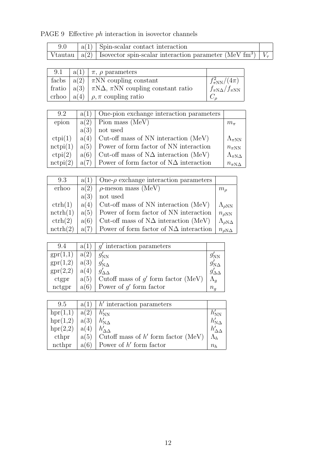## PAGE 9 Effective *ph* interaction in isovector channels

|  | $ a(1) $ Spin-scalar contact interaction                                                      |  |
|--|-----------------------------------------------------------------------------------------------|--|
|  | Vtautau   a(2)   Isovector spin-scalar interaction parameter (MeV fm <sup>3</sup> )   $V\tau$ |  |

| 9.1 | $ a(1)  \pi$ , $\rho$ parameters                               |                              |
|-----|----------------------------------------------------------------|------------------------------|
|     | facbs $ a(2)  \pi NN$ coupling constant                        | $f_{\pi NN}^2/(4\pi)$        |
|     | fratio $ a(3)  \pi N\Delta$ , $\pi NN$ coupling constant ratio | $f_{\pi N\Delta}/f_{\pi NN}$ |
|     | crhoo $ a(4)  \rho, \pi$ coupling ratio                        |                              |

| 9.2               | a(1) | One-pion exchange interaction parameters      |                         |
|-------------------|------|-----------------------------------------------|-------------------------|
| epion             | a(2) | Pion mass (MeV)                               | $m_{\pi}$               |
|                   | a(3) | not used                                      |                         |
| ctpi(1)           | a(4) | Cut-off mass of NN interaction (MeV)          | $\Lambda_{\pi NN}$      |
| $\text{nctpi}(1)$ | a(5) | Power of form factor of NN interaction        | $n_{\pi NN}$            |
| ctpi(2)           | a(6) | Cut-off mass of $N\Delta$ interaction (MeV)   | $\Lambda_{\pi N\Delta}$ |
| $\text{nctpi}(2)$ | a(7) | Power of form factor of $N\Delta$ interaction | $n_{\pi N\Delta}$       |

| 9.3                | a(1) | One- $\rho$ exchange interaction parameters   |                            |
|--------------------|------|-----------------------------------------------|----------------------------|
| erhoo              | a(2) | $\rho$ -meson mass (MeV)                      | m <sub>o</sub>             |
|                    | a(3) | not used                                      |                            |
| $\mathrm{ctrh}(1)$ | a(4) | Cut-off mass of NN interaction (MeV)          | $\Lambda_{\rho NN}$        |
| nctrh(1)           | a(5) | Power of form factor of NN interaction        | $n_{\rho NN}$              |
| $\mathrm{ctrh}(2)$ | a(6) | Cut-off mass of $N\Delta$ interaction (MeV)   | $\Lambda_{\rho N\Delta}$   |
| nctrh(2)           | a(7) | Power of form factor of $N\Delta$ interaction | $n_{\rho\mathrm{N}\Delta}$ |

| 9.4      | a(1  | $q'$ interaction parameters           |                         |
|----------|------|---------------------------------------|-------------------------|
| spr(1,1) | a(2) | $g_{NN}$                              | $g_{\rm NN}$            |
| spr(1,2) | a(3) | $g'_{{\rm N}\Delta}$                  | $g'_{{\rm N}\varDelta}$ |
| spr(2,2) | a(4) |                                       |                         |
| ctgpr    | a(5) | Cutoff mass of $g'$ form factor (MeV) |                         |
| nctgpr   | a(6) | Power of $g'$ form factor             | $n_{q}$                 |

| 9.5      | a(1) | $h'$ interaction parameters                |             |
|----------|------|--------------------------------------------|-------------|
| hpr(1,1) | a(2) | $h'_{NN}$                                  |             |
| hpr(1,2) | a(3) | $h'_{\rm N\Lambda}$                        |             |
| hpr(2,2) | a(4) |                                            |             |
| cthpr    |      | $a(5)$ Cutoff mass of h' form factor (MeV) | $\Lambda_h$ |
| ncthpr   | a(6) | Power of $h'$ form factor                  | $n_h$       |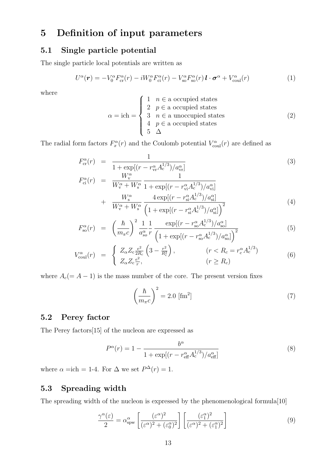## **5 Definition of input parameters**

## **5.1 Single particle potential**

The single particle local potentials are written as

$$
U^{\alpha}(\boldsymbol{r}) = -V_0^{\alpha} F_{\text{cr}}^{\alpha}(r) - iW_0^{\alpha} F_{\text{ci}}^{\alpha}(r) - V_{\text{so}}^{\alpha} F_{\text{so}}^{\alpha}(r) \boldsymbol{l} \cdot \boldsymbol{\sigma}^{\alpha} + V_{\text{coul}}^{\alpha}(r)
$$
(1)

where

$$
\alpha = \text{ich} = \begin{cases} 1 & n \in \text{a occupied states} \\ 2 & p \in \text{a occupied states} \\ 3 & n \in \text{a unoccupied states} \\ 4 & p \in \text{a occupied states} \\ 5 & \Delta \end{cases} \tag{2}
$$

The radial form factors  $F_x^{\alpha}(r)$  and the Coulomb potential  $V_{\text{coul}}^{\alpha}(r)$  are defined as

$$
F_{\rm cr}^{\alpha}(r) = \frac{1}{1 + \exp[(r - r_{\rm vr}^{\alpha} A_{\rm c}^{1/3}) / a_{\rm vr}^{\alpha}]}
$$
\n(3)

$$
F_{ci}^{\alpha}(r) = \frac{W_{v}^{\alpha}}{W_{v}^{\alpha} + W_{s}^{\alpha}} \frac{1}{1 + \exp[(r - r_{vi}^{\alpha} A_{c}^{1/3}) / a_{vi}^{\alpha}]} + \frac{W_{s}^{\alpha}}{W_{v}^{\alpha} + W_{s}^{\alpha}} \frac{4 \exp[(r - r_{si}^{\alpha} A_{c}^{1/3}) / a_{si}^{\alpha}]}{(1 + \exp[(r - r_{si}^{\alpha} A_{c}^{1/3}) / a_{si}^{\alpha}])^{2}}
$$
(4)

$$
F_{\rm so}^{\alpha}(r) = \left(\frac{\hbar}{m_{\pi}c}\right)^2 \frac{1}{a_{\rm so}^{\alpha}} \frac{1}{r} \frac{\exp[(r - r_{\rm so}^{\alpha} A_{\rm c}^{1/3})/a_{\rm so}^{\alpha}]}{\left(1 + \exp[(r - r_{\rm so}^{\alpha} A_{\rm c}^{1/3})/a_{\rm so}^{\alpha}]\right)^2}
$$
(5)

$$
V_{\text{coul}}^{\alpha}(r) = \begin{cases} Z_{\alpha} Z_{\text{c}} \frac{e^2}{2R_c} \left(3 - \frac{r^2}{R_c^2}\right), & (r < R_c = r_c^{\alpha} A_c^{1/3})\\ Z_{\alpha} Z_{\text{c}} \frac{e^2}{r}, & (r \ge R_c) \end{cases}
$$
\n
$$
(6)
$$

where  $A_c(= A - 1)$  is the mass number of the core. The present version fixes

$$
\left(\frac{\hbar}{m_{\pi}c}\right)^2 = 2.0 \text{ [fm}^2\text{]}
$$
\n(7)

### **5.2 Perey factor**

The Perey factors[15] of the nucleon are expressed as

$$
P^{\alpha}(r) = 1 - \frac{b^{\alpha}}{1 + \exp[(r - r_{\text{eff}}^{\alpha} A_{\text{c}}^{1/3}) / a_{\text{eff}}^{\alpha}]}
$$
(8)

where  $\alpha = \text{ich} = 1$ -4. For  $\Delta$  we set  $P^{\Delta}(r) = 1$ .

### **5.3 Spreading width**

The spreading width of the nucleon is expressed by the phenomenological formula[10]

$$
\frac{\gamma^{\alpha}(\varepsilon)}{2} = \alpha_{\text{spw}}^{\alpha} \left[ \frac{(\varepsilon^{\alpha})^2}{(\varepsilon^{\alpha})^2 + (\varepsilon_0^{\alpha})^2} \right] \left[ \frac{(\varepsilon_1^{\alpha})^2}{(\varepsilon^{\alpha})^2 + (\varepsilon_1^{\alpha})^2} \right]
$$
(9)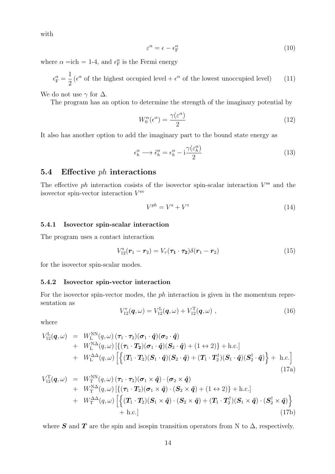with

$$
\varepsilon^{\alpha} = \epsilon - \epsilon_{\rm F}^{\alpha} \tag{10}
$$

where  $\alpha = \text{ich} = 1$ -4, and  $\epsilon_{\text{F}}^{\alpha}$  is the Fermi energy

 $\epsilon_{\rm F}^{\alpha} =$ 1 2  $(\epsilon^{\alpha}$  of the highest occupied level +  $\epsilon^{\alpha}$  of the lowest unoccupied level) (11)

We do not use  $\gamma$  for  $\Delta$ .

The program has an option to determine the strength of the imaginary potential by

$$
W_0^{\alpha}(\epsilon^{\alpha}) = \frac{\gamma(\epsilon^{\alpha})}{2} \tag{12}
$$

It also has another option to add the imaginary part to the bound state energy as

$$
\epsilon_h^{\alpha} \longrightarrow \tilde{\epsilon}_h^{\alpha} = \epsilon_h^{\alpha} - i \frac{\gamma(\varepsilon_h^{\alpha})}{2}
$$
\n(13)

### **5.4 Effective** *ph* **interactions**

The effective *ph* interaction cosists of the isovector spin-scalar interaction  $V^{\rm ss}$  and the isovector spin-vector interaction *V* sv

$$
V^{ph} = V^s + V^v \tag{14}
$$

#### **5.4.1 Isovector spin-scalar interaction**

The program uses a contact interaction

$$
V_{12}^{\rm s}(\boldsymbol{r}_1-\boldsymbol{r}_2)=V_{\tau}(\boldsymbol{\tau}_1\cdot\boldsymbol{\tau}_2)\delta(\boldsymbol{r}_1-\boldsymbol{r}_2)
$$
\n(15)

for the isovector spin-scalar modes.

#### **5.4.2 Isovector spin-vector interaction**

For the isovector spin-vector modes, the *ph* interaction is given in the momentum representation as

$$
V_{12}^{\rm v}(\bm{q},\omega) = V_{12}^{\rm L}(\bm{q},\omega) + V_{12}^{\rm T}(\bm{q},\omega) , \qquad (16)
$$

where

$$
V_{12}^{L}(\boldsymbol{q},\omega) = W_{L}^{NN}(q,\omega) (\boldsymbol{\tau}_{1} \cdot \boldsymbol{\tau}_{2}) (\boldsymbol{\sigma}_{1} \cdot \hat{\boldsymbol{q}}) (\boldsymbol{\sigma}_{2} \cdot \hat{\boldsymbol{q}}) + W_{L}^{NN} (q,\omega) [\{ (\boldsymbol{\tau}_{1} \cdot \boldsymbol{T}_{2}) (\boldsymbol{\sigma}_{1} \cdot \hat{\boldsymbol{q}}) (\boldsymbol{S}_{2} \cdot \hat{\boldsymbol{q}}) + (1 \leftrightarrow 2) \} + h.c.] + W_{L}^{\Delta\Delta}(q,\omega) [\{ (\boldsymbol{T}_{1} \cdot \boldsymbol{T}_{2}) (\boldsymbol{S}_{1} \cdot \hat{\boldsymbol{q}}) (\boldsymbol{S}_{2} \cdot \hat{\boldsymbol{q}}) + (\boldsymbol{T}_{1} \cdot \boldsymbol{T}_{2}^{\dagger}) (\boldsymbol{S}_{1} \cdot \hat{\boldsymbol{q}}) (\boldsymbol{S}_{2}^{\dagger} \cdot \hat{\boldsymbol{q}}) \} + h.c.]
$$
\n(17a)

$$
V_{12}^{T}(\boldsymbol{q},\omega) = W_{T}^{NN}(q,\omega) (\boldsymbol{\tau}_{1} \cdot \boldsymbol{\tau}_{2}) (\boldsymbol{\sigma}_{1} \times \boldsymbol{\hat{q}}) \cdot (\boldsymbol{\sigma}_{2} \times \boldsymbol{\hat{q}}) + W_{T}^{N\Delta}(q,\omega) [\{(\boldsymbol{\tau}_{1} \cdot \boldsymbol{T}_{2})(\boldsymbol{\sigma}_{1} \times \boldsymbol{\hat{q}}) \cdot (\boldsymbol{S}_{2} \times \boldsymbol{\hat{q}}) + (1 \leftrightarrow 2)\} + h.c.] + W_{T}^{\Delta\Delta}(q,\omega) [\{(\boldsymbol{T}_{1} \cdot \boldsymbol{T}_{2})(\boldsymbol{S}_{1} \times \boldsymbol{\hat{q}}) \cdot (\boldsymbol{S}_{2} \times \boldsymbol{\hat{q}}) + (\boldsymbol{T}_{1} \cdot \boldsymbol{T}_{2}^{\dagger})(\boldsymbol{S}_{1} \times \boldsymbol{\hat{q}}) \cdot (\boldsymbol{S}_{2}^{\dagger} \times \boldsymbol{\hat{q}}) + h.c.]
$$
\n(17b)

where *S* and *T* are the spin and isospin transition operators from N to  $\Delta$ , respectively.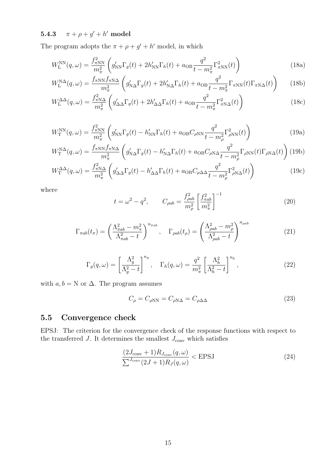$\textbf{5.4.3} \qquad \pi + \rho + g' + h' \text{ model}$ 

The program adopts the  $\pi + \rho + g' + h'$  model, in which

$$
W_{\rm L}^{\rm NN}(q,\omega) = \frac{f_{\pi N\rm N}^2}{m_{\pi}^2} \left( g_{\rm NN}' \Gamma_g(t) + 2h_{\rm NN}' \Gamma_h(t) + a_{\rm OB} \frac{q^2}{t - m_{\pi}^2} \Gamma_{\pi N\rm N}^2(t) \right)
$$
(18a)

$$
W_{\rm L}^{\rm NA}(q,\omega) = \frac{f_{\pi \rm NN} f_{\pi \rm NA}}{m_{\pi}^2} \left( g_{\rm NA}' \Gamma_g(t) + 2h_{\rm NA}' \Gamma_h(t) + a_{\rm OB} \frac{q^2}{t - m_{\pi}^2} \Gamma_{\pi \rm NN}(t) \Gamma_{\pi \rm NA}(t) \right) \tag{18b}
$$

$$
W_{\mathcal{L}}^{\Delta\Delta}(q,\omega) = \frac{f_{\pi N\Delta}^2}{m_{\pi}^2} \left( g_{\Delta\Delta}^{\prime} \Gamma_g(t) + 2h_{\Delta\Delta}^{\prime} \Gamma_h(t) + a_{\text{OB}} \frac{q^2}{t - m_{\pi}^2} \Gamma_{\pi N\Delta}^2(t) \right)
$$
(18c)

$$
W_{\rm T}^{\rm NN}(q,\omega) = \frac{f_{\pi N\rm N}^2}{m_{\pi}^2} \left( g_{\rm NN}' \Gamma_g(t) - h_{\rm NN}' \Gamma_h(t) + a_{\rm OB} C_{\rho N\rm N} \frac{q^2}{t - m_{\rho}^2} \Gamma_{\rho N\rm N}^2(t) \right)
$$
(19a)

$$
W_{\rm T}^{\rm N\Delta}(q,\omega) = \frac{f_{\pi \rm NN} f_{\pi \rm N\Delta}}{m_{\pi}^2} \left( g_{\rm N\Delta}' \Gamma_g(t) - h_{\rm N\Delta}' \Gamma_h(t) + a_{\rm OB} C_{\rho \rm N\Delta} \frac{q^2}{t - m_{\rho}^2} \Gamma_{\rho \rm NN}(t) \Gamma_{\rho \rm N\Delta}(t) \right) (19b)
$$

$$
W_{\rm T}^{\Delta\Delta}(q,\omega) = \frac{f_{\pi N\Delta}^2}{m_{\pi}^2} \left( g_{\Delta\Delta}^{\prime} \Gamma_g(t) - h_{\Delta\Delta}^{\prime} \Gamma_h(t) + a_{\rm OB} C_{\rho\Delta\Delta} \frac{q^2}{t - m_{\rho}^2} \Gamma_{\rho N\Delta}^2(t) \right)
$$
(19c)

where

$$
t = \omega^2 - q^2, \qquad C_{\rho ab} = \frac{f_{\rho ab}^2}{m_\rho^2} \left[ \frac{f_{\pi ab}^2}{m_\pi^2} \right]^{-1} \tag{20}
$$

$$
\Gamma_{\pi ab}(t_{\pi}) = \left(\frac{\Lambda_{\pi ab}^2 - m_{\pi}^2}{\Lambda_{\pi ab}^2 - t}\right)^{n_{\pi ab}}, \quad \Gamma_{\rho ab}(t_{\rho}) = \left(\frac{\Lambda_{\rho ab}^2 - m_{\rho}^2}{\Lambda_{\rho ab}^2 - t}\right)^{n_{\rho ab}} \tag{21}
$$

$$
\Gamma_g(q,\omega) = \left[\frac{\Lambda_g^2}{\Lambda_g^2 - t}\right]^{n_g}, \quad \Gamma_h(q,\omega) = \frac{q^2}{m_\pi^2} \left[\frac{\Lambda_h^2}{\Lambda_h^2 - t}\right]^{n_h},\tag{22}
$$

with  $a, b = N$  or  $\Delta$ . The program assumes

$$
C_{\rho} = C_{\rho NN} = C_{\rho N\Delta} = C_{\rho \Delta \Delta}
$$
\n(23)

## **5.5 Convergence check**

EPSJ: The criterion for the convergence check of the response functions with respect to the transferred  $J$ . It determines the smallest  $J_{\text{conv}}$  which satisfies

$$
\frac{(2J_{\text{conv}}+1)R_{J_{\text{conv}}}(q,\omega)}{\sum_{J_{\text{conv}}}(2J+1)R_J(q,\omega)} < \text{EPSJ}
$$
\n(24)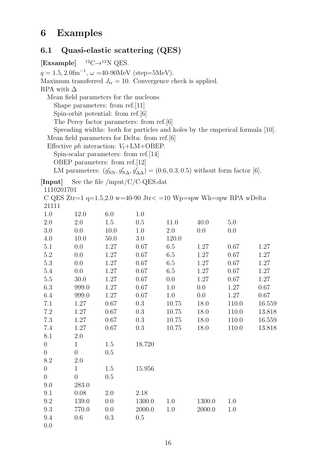## **6 Examples**

## **6.1 Quasi-elastic scattering (QES)**

**[Exsample]** <sup>12</sup>C*→*<sup>12</sup>N QES.  $q = 1.5, 2.0$ fm<sup>-1</sup>,  $\omega = 40$ -90MeV (step=5MeV). Maximum transferred  $J_{tr} = 10$ . Convergence check is applied. RPA with  $\Delta$ Mean field parameters for the nucleons Shape parameters: from ref.[11] Spin-orbit potential: from ref.[6] The Perey factor parameters: from ref.[6] Spreading widths: both for particles and holes by the emperical formula [10]. Mean field parameters for Delta: from ref.[6] Effective *ph* interaction:  $V_t + LM + OBEP$ . Spin-scalar parameters: from ref.[14] OBEP parameters: from ref.[12] LM parameters:  $(g'_{NN}, g'_{N\Delta}, g'_{\Delta\Delta}) = (0.6, 0.3, 0.5)$  without form factor [6]. **[Input]** See the file /input/C/C-QES.dat 1110201701 C QES Ztr=1  $q=1.5,2.0$  w=40-90 Jtr $\lt$  =10 Wp=spw Wh=spw RPA wDelta 21111 1.0 12.0 6.0 1.0 2.0 2.0 1.5 0.5 11.0 40.0 5.0 3.0 0.0 10.0 1.0 2.0 0.0 0.0 4.0 10.0 50.0 3.0 120.0 5.1 0.0 1.27 0.67 6.5 1.27 0.67 1.27 5.2 0.0 1.27 0.67 6.5 1.27 0.67 1.27 5.3 0.0 1.27 0.67 6.5 1.27 0.67 1.27 5.4 0.0 1.27 0.67 6.5 1.27 0.67 1.27 5.5 30.0 1.27 0.67 0.0 1.27 0.67 1.27 6.3 999.0 1.27 0.67 1.0 0.0 1.27 0.67 6.4 999.0 1.27 0.67 1.0 0.0 1.27 0.67 7.1 1.27 0.67 0.3 10.75 18.0 110.0 16.559 7.2 1.27 0.67 0.3 10.75 18.0 110.0 13.818 7.3 1.27 0.67 0.3 10.75 18.0 110.0 16.559 7.4 1.27 0.67 0.3 10.75 18.0 110.0 13.818 8.1 2.0 0 1 1.5 18.720 0 0 0.5 8.2 2.0 0 1 1.5 15.956 0 0 0.5 9.0 283.0 9.1 0.08 2.0 2.18 9.2 139.0 0.0 1300.0 1.0 1300.0 1.0 9.3 770.0 0.0 2000.0 1.0 2000.0 1.0 9.4 0.6 0.3 0.5 0.0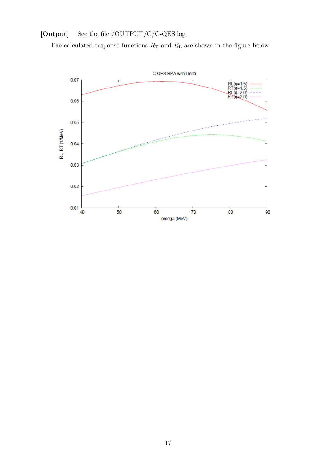## **[Output]** See the file /OUTPUT/C/C-QES.log

The calculated response functions  $R_{\rm T}$  and  $R_{\rm L}$  are shown in the figure below.

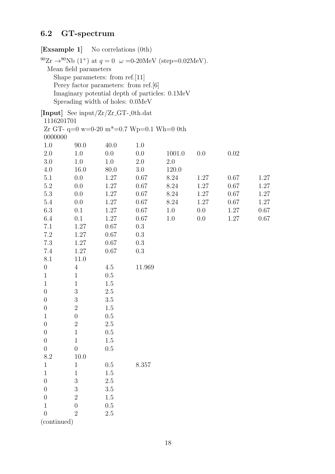## **6.2 GT-spectrum**

## **[Exsample 1]** No correlations (0th)

<sup>90</sup>Zr  $\rightarrow$ <sup>90</sup>Nb (1<sup>+</sup>) at  $q = 0$   $\omega =0$ -20MeV (step=0.02MeV). Mean field parameters Shape parameters: from ref.[11] Perey factor parameters: from ref.[6] Imaginary potential depth of particles: 0.1MeV Spreading width of holes: 0.0MeV

|                  | [Input] See input/ $Zr/Zr$ -GT-0th.dat |         |                                                         |         |      |          |      |
|------------------|----------------------------------------|---------|---------------------------------------------------------|---------|------|----------|------|
| 1116201701       |                                        |         |                                                         |         |      |          |      |
|                  |                                        |         | Zr GT- $q=0$ w=0-20 m <sup>*</sup> =0.7 Wp=0.1 Wh=0 0th |         |      |          |      |
| 0000000          |                                        |         |                                                         |         |      |          |      |
| 1.0              | 90.0                                   | 40.0    | 1.0                                                     |         |      |          |      |
| $2.0\,$          | 1.0                                    | 0.0     | 0.0                                                     | 1001.0  | 0.0  | $0.02\,$ |      |
| $3.0\,$          | $1.0\,$                                | 1.0     | 2.0                                                     | $2.0\,$ |      |          |      |
| 4.0              | 16.0                                   | 80.0    | 3.0                                                     | 120.0   |      |          |      |
| 5.1              | $0.0\,$                                | 1.27    | 0.67                                                    | 8.24    | 1.27 | 0.67     | 1.27 |
| $5.2\,$          | 0.0                                    | 1.27    | 0.67                                                    | 8.24    | 1.27 | 0.67     | 1.27 |
| $5.3\,$          | 0.0                                    | 1.27    | 0.67                                                    | 8.24    | 1.27 | 0.67     | 1.27 |
| $5.4\,$          | 0.0                                    | 1.27    | 0.67                                                    | 8.24    | 1.27 | 0.67     | 1.27 |
| $6.3\,$          | 0.1                                    | 1.27    | $0.67\,$                                                | 1.0     | 0.0  | 1.27     | 0.67 |
| 6.4              | 0.1                                    | 1.27    | 0.67                                                    | 1.0     | 0.0  | 1.27     | 0.67 |
| 7.1              | 1.27                                   | 0.67    | 0.3                                                     |         |      |          |      |
| $7.2\,$          | 1.27                                   | 0.67    | 0.3                                                     |         |      |          |      |
| 7.3              | 1.27                                   | 0.67    | 0.3                                                     |         |      |          |      |
| $7.4\,$          | 1.27                                   | 0.67    | 0.3                                                     |         |      |          |      |
| 8.1              | 11.0                                   |         |                                                         |         |      |          |      |
| $\boldsymbol{0}$ | $\overline{4}$                         | 4.5     | 11.969                                                  |         |      |          |      |
| $\mathbf{1}$     | $\mathbf{1}$                           | $0.5\,$ |                                                         |         |      |          |      |
| $\mathbf{1}$     | $\mathbf 1$                            | 1.5     |                                                         |         |      |          |      |
| $\boldsymbol{0}$ | $\sqrt{3}$                             | $2.5\,$ |                                                         |         |      |          |      |
| $\theta$         | $\sqrt{3}$                             | 3.5     |                                                         |         |      |          |      |
| $\theta$         | $\sqrt{2}$                             | 1.5     |                                                         |         |      |          |      |
| $\mathbf{1}$     | $\boldsymbol{0}$                       | $0.5\,$ |                                                         |         |      |          |      |
| $\boldsymbol{0}$ | $\overline{2}$                         | $2.5\,$ |                                                         |         |      |          |      |
| $\boldsymbol{0}$ | $\,1$                                  | 0.5     |                                                         |         |      |          |      |
| $\theta$         | $1\,$                                  | 1.5     |                                                         |         |      |          |      |
| $\theta$         | $\theta$                               | 0.5     |                                                         |         |      |          |      |
| 8.2              | 10.0                                   |         |                                                         |         |      |          |      |
| T                |                                        | $0.5\,$ | 8.357                                                   |         |      |          |      |
| $\mathbf{1}$     | 1                                      | $1.5\,$ |                                                         |         |      |          |      |
| $\overline{0}$   | 3                                      | $2.5\,$ |                                                         |         |      |          |      |
| $\overline{0}$   | 3                                      | $3.5\,$ |                                                         |         |      |          |      |
| $\overline{0}$   | $\overline{2}$                         | $1.5\,$ |                                                         |         |      |          |      |
| $\mathbf 1$      | $\overline{0}$                         | 0.5     |                                                         |         |      |          |      |
| $\overline{0}$   | $\overline{2}$                         | $2.5\,$ |                                                         |         |      |          |      |
| continued)       |                                        |         |                                                         |         |      |          |      |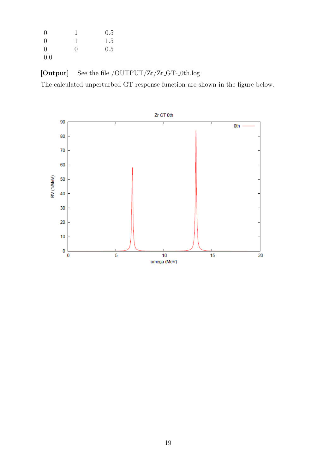| $\theta$ |   | 0.5 |
|----------|---|-----|
| $\theta$ |   | 1.5 |
| $\theta$ | 0 | 0.5 |
| 0.0      |   |     |

[Output] See the file /OUTPUT/Zr/Zr\_GT-\_0th.log

The calculated unperturbed GT response function are shown in the figure below.

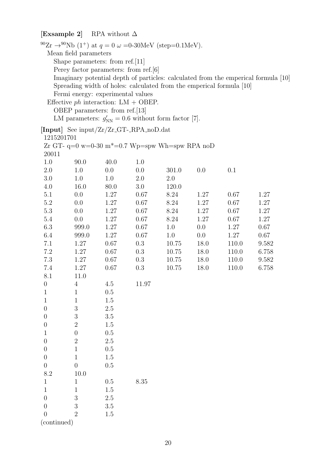## **[Exsample 2]** RPA without ∆

|                                        | <sup>90</sup> Zr $\rightarrow$ <sup>90</sup> Nb (1 <sup>+</sup> ) at $q = 0 \omega = 0$ -30MeV (step=0.1MeV). |         |         |           |         |                                                                      |                                                                                    |
|----------------------------------------|---------------------------------------------------------------------------------------------------------------|---------|---------|-----------|---------|----------------------------------------------------------------------|------------------------------------------------------------------------------------|
| Mean field parameters                  |                                                                                                               |         |         |           |         |                                                                      |                                                                                    |
| Shape parameters: from ref. $[11]$     |                                                                                                               |         |         |           |         |                                                                      |                                                                                    |
| Perey factor parameters: from ref. [6] |                                                                                                               |         |         |           |         |                                                                      |                                                                                    |
|                                        |                                                                                                               |         |         |           |         |                                                                      | Imaginary potential depth of particles: calculated from the emperical formula [10] |
|                                        |                                                                                                               |         |         |           |         | Spreading width of holes: calculated from the emperical formula [10] |                                                                                    |
|                                        | Fermi energy: experimental values                                                                             |         |         |           |         |                                                                      |                                                                                    |
|                                        | Effective $ph$ interaction: LM + OBEP.                                                                        |         |         |           |         |                                                                      |                                                                                    |
|                                        | OBEP parameters: from ref. $[13]$                                                                             |         |         |           |         |                                                                      |                                                                                    |
|                                        | LM parameters: $g'_{NN} = 0.6$ without form factor [7].                                                       |         |         |           |         |                                                                      |                                                                                    |
|                                        | [Input] See input/ $Zr/Zr$ -GT--RPA-noD.dat                                                                   |         |         |           |         |                                                                      |                                                                                    |
| 1215201701                             |                                                                                                               |         |         |           |         |                                                                      |                                                                                    |
|                                        | Zr GT- q=0 w=0-30 m <sup>*</sup> =0.7 Wp=spw Wh=spw RPA noD                                                   |         |         |           |         |                                                                      |                                                                                    |
| 20011                                  |                                                                                                               |         |         |           |         |                                                                      |                                                                                    |
| 1.0                                    | 90.0                                                                                                          | 40.0    | 1.0     |           |         |                                                                      |                                                                                    |
| 2.0                                    | 1.0                                                                                                           | 0.0     | 0.0     | 301.0     | 0.0     | 0.1                                                                  |                                                                                    |
| 3.0                                    | 1.0                                                                                                           | 1.0     | 2.0     | 2.0       |         |                                                                      |                                                                                    |
| 4.0                                    | 16.0                                                                                                          | 80.0    | $3.0\,$ | 120.0     |         |                                                                      |                                                                                    |
| 5.1                                    | 0.0                                                                                                           | 1.27    | 0.67    | 8.24      | 1.27    | 0.67                                                                 | 1.27                                                                               |
| 5.2                                    | 0.0                                                                                                           | 1.27    | 0.67    | 8.24      | 1.27    | 0.67                                                                 | 1.27                                                                               |
| 5.3                                    | 0.0                                                                                                           | 1.27    | 0.67    | 8.24      | 1.27    | 0.67                                                                 | 1.27                                                                               |
| 5.4                                    | 0.0                                                                                                           | 1.27    | 0.67    | 8.24      | 1.27    | 0.67                                                                 | 1.27                                                                               |
| $6.3\,$                                | 999.0                                                                                                         | 1.27    | 0.67    | 1.0       | 0.0     | 1.27                                                                 | 0.67                                                                               |
| 6.4                                    | 999.0                                                                                                         | 1.27    | 0.67    | 1.0       | $0.0\,$ | 1.27                                                                 | 0.67                                                                               |
| 7.1                                    | 1.27                                                                                                          | 0.67    | 0.3     | 10.75     | 18.0    | 110.0                                                                | 9.582                                                                              |
| 7.2                                    | 1.27                                                                                                          | 0.67    | 0.3     | 10.75     | 18.0    | 110.0                                                                | 6.758                                                                              |
| 7.3                                    | 1.27                                                                                                          | 0.67    | 0.3     | $10.75\,$ | 18.0    | 110.0                                                                | 9.582                                                                              |
| 7.4                                    | 1.27                                                                                                          | 0.67    | 0.3     | 10.75     | 18.0    | 110.0                                                                | 6.758                                                                              |
| 8.1                                    | 11.0                                                                                                          |         |         |           |         |                                                                      |                                                                                    |
| $\boldsymbol{0}$                       | $\overline{4}$                                                                                                | 4.5     | 11.97   |           |         |                                                                      |                                                                                    |
| $\mathbf{1}$                           | $\mathbf{1}$                                                                                                  | 0.5     |         |           |         |                                                                      |                                                                                    |
| 1                                      | 1                                                                                                             | 1.5     |         |           |         |                                                                      |                                                                                    |
| $\overline{0}$                         | 3                                                                                                             | $2.5\,$ |         |           |         |                                                                      |                                                                                    |
| $\overline{0}$                         | 3                                                                                                             | 3.5     |         |           |         |                                                                      |                                                                                    |
| 0                                      | $\overline{2}$                                                                                                | 1.5     |         |           |         |                                                                      |                                                                                    |
| 1                                      | $\boldsymbol{0}$                                                                                              | 0.5     |         |           |         |                                                                      |                                                                                    |
| $\overline{0}$                         | $\overline{2}$                                                                                                | $2.5\,$ |         |           |         |                                                                      |                                                                                    |
| $\overline{0}$                         | 1                                                                                                             | 0.5     |         |           |         |                                                                      |                                                                                    |
| $\overline{0}$                         | 1                                                                                                             | 1.5     |         |           |         |                                                                      |                                                                                    |
| $\overline{0}$                         | $\overline{0}$                                                                                                | 0.5     |         |           |         |                                                                      |                                                                                    |
| 8.2                                    | 10.0                                                                                                          |         |         |           |         |                                                                      |                                                                                    |
| 1                                      | $\mathbf{1}$                                                                                                  | 0.5     | 8.35    |           |         |                                                                      |                                                                                    |
| 1                                      | 1                                                                                                             | 1.5     |         |           |         |                                                                      |                                                                                    |
| $\overline{0}$                         | 3                                                                                                             | 2.5     |         |           |         |                                                                      |                                                                                    |
| $\hspace{.0cm}0$                       | 3                                                                                                             | 3.5     |         |           |         |                                                                      |                                                                                    |
| $\overline{0}$                         | $\overline{2}$                                                                                                | 1.5     |         |           |         |                                                                      |                                                                                    |
| (continued)                            |                                                                                                               |         |         |           |         |                                                                      |                                                                                    |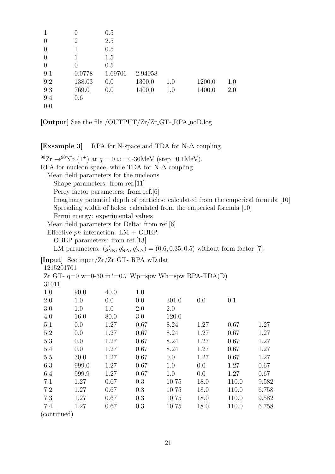| 1              | 0        | 0.5     |         |     |        |     |
|----------------|----------|---------|---------|-----|--------|-----|
| $\theta$       | 2        | 2.5     |         |     |        |     |
| $\theta$       | 1        | 0.5     |         |     |        |     |
| $\theta$       | 1        | 1.5     |         |     |        |     |
| $\overline{0}$ | $\theta$ | 0.5     |         |     |        |     |
| 9.1            | 0.0778   | 1.69706 | 2.94058 |     |        |     |
| 9.2            | 138.03   | 0.0     | 1300.0  | 1.0 | 1200.0 | 1.0 |
| 9.3            | 769.0    | 0.0     | 1400.0  | 1.0 | 1400.0 | 2.0 |
| 9.4            | 0.6      |         |         |     |        |     |
| 0.0            |          |         |         |     |        |     |
|                |          |         |         |     |        |     |

**[Output]** See the file /OUTPUT/Zr/Zr GT- RPA noD.log

**[Exsample 3]** RPA for N-space and TDA for N-∆ coupling

 $^{90}Zr \rightarrow ^{90}Nb(1^+)$  at  $q = 0 \omega = 0.30MeV$  (step=0.1MeV). RPA for nucleon space, while TDA for N- $\Delta$  coupling Mean field parameters for the nucleons Shape parameters: from ref.[11] Perey factor parameters: from ref.[6] Imaginary potential depth of particles: calculated from the emperical formula [10] Spreading width of holes: calculated from the emperical formula [10] Fermi energy: experimental values Mean field parameters for Delta: from ref.[6] Effective *ph* interaction: LM + OBEP. OBEP parameters: from ref.[13] LM parameters:  $(g'_{NN}, g'_{N\Delta}, g'_{\Delta\Delta}) = (0.6, 0.35, 0.5)$  without form factor [7]. **[Input]** See input/Zr/Zr GT- RPA wD.dat 1215201701 Zr GT-  $q=0$  w=0-30 m<sup>\*</sup>=0.7 Wp=spw Wh=spw RPA-TDA(D) 31011 1.0 90.0 40.0 1.0 2.0 1.0 0.0 0.0 301.0 0.0 0.1 3.0 1.0 1.0 2.0 2.0 4.0 16.0 80.0 3.0 120.0 5.1 0.0 1.27 0.67 8.24 1.27 0.67 1.27 5.2 0.0 1.27 0.67 8.24 1.27 0.67 1.27 5.3 0.0 1.27 0.67 8.24 1.27 0.67 1.27 5.4 0.0 1.27 0.67 8.24 1.27 0.67 1.27 5.5 30.0 1.27 0.67 0.0 1.27 0.67 1.27 6.3 999.0 1.27 0.67 1.0 0.0 1.27 0.67 6.4 999.9 1.27 0.67 1.0 0.0 1.27 0.67 7.1 1.27 0.67 0.3 10.75 18.0 110.0 9.582 7.2 1.27 0.67 0.3 10.75 18.0 110.0 6.758 7.3 1.27 0.67 0.3 10.75 18.0 110.0 9.582 7.4 1.27 0.67 0.3 10.75 18.0 110.0 6.758

(continued)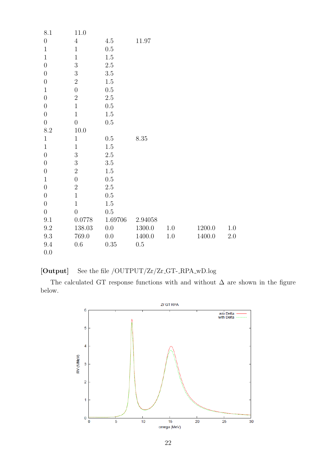| $8.1\,$          | $11.0\,$         |          |           |         |        |         |
|------------------|------------------|----------|-----------|---------|--------|---------|
| $\boldsymbol{0}$ | $\overline{4}$   | $4.5\,$  | $11.97\,$ |         |        |         |
| $\mathbf{1}$     | $\mathbf{1}$     | $0.5\,$  |           |         |        |         |
| $\mathbf{1}$     | $\,1$            | $1.5\,$  |           |         |        |         |
| $\boldsymbol{0}$ | $\sqrt{3}$       | $2.5\,$  |           |         |        |         |
| $\boldsymbol{0}$ | 3                | $3.5\,$  |           |         |        |         |
| $\boldsymbol{0}$ | $\overline{2}$   | $1.5\,$  |           |         |        |         |
| $\mathbf{1}$     | $\boldsymbol{0}$ | $0.5\,$  |           |         |        |         |
| $\overline{0}$   | $\overline{2}$   | $2.5\,$  |           |         |        |         |
| $\theta$         | $\,1$            | $0.5\,$  |           |         |        |         |
| $\boldsymbol{0}$ | $1\,$            | $1.5\,$  |           |         |        |         |
| $\boldsymbol{0}$ | $\boldsymbol{0}$ | $0.5\,$  |           |         |        |         |
| $8.2\,$          | 10.0             |          |           |         |        |         |
| $\mathbf{1}$     | $1\,$            | $0.5\,$  | $8.35\,$  |         |        |         |
| $\mathbf{1}$     | $1\,$            | $1.5\,$  |           |         |        |         |
| $\boldsymbol{0}$ | $\boldsymbol{3}$ | $2.5\,$  |           |         |        |         |
| $\boldsymbol{0}$ | $\overline{3}$   | $3.5\,$  |           |         |        |         |
| $\boldsymbol{0}$ | $\overline{2}$   | $1.5\,$  |           |         |        |         |
| $\mathbf{1}$     | $\boldsymbol{0}$ | $0.5\,$  |           |         |        |         |
| $\boldsymbol{0}$ | $\sqrt{2}$       | $2.5\,$  |           |         |        |         |
| $\boldsymbol{0}$ | $1\,$            | $0.5\,$  |           |         |        |         |
| $\boldsymbol{0}$ | $\mathbf 1$      | $1.5\,$  |           |         |        |         |
| $\boldsymbol{0}$ | $\overline{0}$   | $0.5\,$  |           |         |        |         |
| $9.1\,$          | 0.0778           | 1.69706  | 2.94058   |         |        |         |
| $\,9.2$          | 138.03           | $0.0\,$  | 1300.0    | 1.0     | 1200.0 | 1.0     |
| $\rm 9.3$        | 769.0            | 0.0      | 1400.0    | $1.0\,$ | 1400.0 | $2.0\,$ |
| 9.4              | $0.6\,$          | $0.35\,$ | $0.5\,$   |         |        |         |
| 0.0              |                  |          |           |         |        |         |

## [Output] See the file /OUTPUT/Zr/Zr<sub>-GT-RPA<sub>-W</sub>D.log</sub>

The calculated GT response functions with and without  $\Delta$  are shown in the figure below.

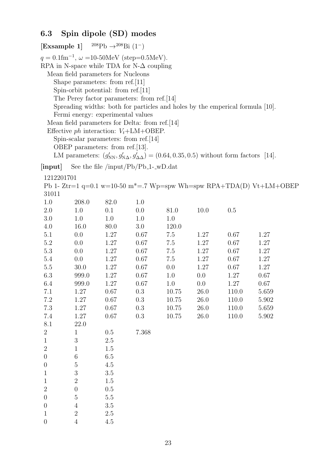## **6.3 Spin dipole (SD) modes**

|                  | [Exsample 1] $^{208}Pb \rightarrow ^{208}Bi (1^-)$                                                                                                                                   |         |                                                                                                                                                                                                                                                                                                                            |       |         |                                                                                                                                                                                             |                                                                                  |  |
|------------------|--------------------------------------------------------------------------------------------------------------------------------------------------------------------------------------|---------|----------------------------------------------------------------------------------------------------------------------------------------------------------------------------------------------------------------------------------------------------------------------------------------------------------------------------|-------|---------|---------------------------------------------------------------------------------------------------------------------------------------------------------------------------------------------|----------------------------------------------------------------------------------|--|
|                  | Mean field parameters for Nucleons<br>Shape parameters: from ref.[11]<br>Spin-orbit potential: from ref.[11]<br>Fermi energy: experimental values<br>OBEP parameters: from ref.[13]. |         | $q = 0.1$ fm <sup>-1</sup> , $\omega = 10$ -50MeV (step=0.5MeV).<br>RPA in N-space while TDA for N- $\Delta$ coupling<br>The Perey factor parameters: from ref. [14]<br>Mean field parameters for Delta: from ref.[14]<br>Effective <i>ph</i> interaction: $V_t + LM + OBEP$ .<br>Spin-scalar parameters: from ref. $[14]$ |       |         | Spreading widths: both for particles and holes by the emperical formula [10].<br>LM parameters: $(g'_{NN}, g'_{N\Delta}, g'_{\Delta\Delta}) = (0.64, 0.35, 0.5)$ without form factors [14]. |                                                                                  |  |
| [input]          |                                                                                                                                                                                      |         | See the file /input/ $Pb/Pb_1$ -_wD.dat                                                                                                                                                                                                                                                                                    |       |         |                                                                                                                                                                                             |                                                                                  |  |
| 1212201701       |                                                                                                                                                                                      |         |                                                                                                                                                                                                                                                                                                                            |       |         |                                                                                                                                                                                             |                                                                                  |  |
|                  |                                                                                                                                                                                      |         |                                                                                                                                                                                                                                                                                                                            |       |         |                                                                                                                                                                                             | Pb 1- Ztr=1 q=0.1 w=10-50 m <sup>*</sup> =.7 Wp=spw Wh=spw RPA+TDA(D) Vt+LM+OBEP |  |
| 31011            |                                                                                                                                                                                      |         |                                                                                                                                                                                                                                                                                                                            |       |         |                                                                                                                                                                                             |                                                                                  |  |
| 1.0              | 208.0                                                                                                                                                                                | 82.0    | 1.0                                                                                                                                                                                                                                                                                                                        |       |         |                                                                                                                                                                                             |                                                                                  |  |
| 2.0              | 1.0                                                                                                                                                                                  | 0.1     | 0.0                                                                                                                                                                                                                                                                                                                        | 81.0  | 10.0    | 0.5                                                                                                                                                                                         |                                                                                  |  |
| 3.0              | 1.0                                                                                                                                                                                  | 1.0     | 1.0                                                                                                                                                                                                                                                                                                                        | 1.0   |         |                                                                                                                                                                                             |                                                                                  |  |
| 4.0              | 16.0                                                                                                                                                                                 | 80.0    | 3.0                                                                                                                                                                                                                                                                                                                        | 120.0 |         |                                                                                                                                                                                             |                                                                                  |  |
| 5.1              | 0.0                                                                                                                                                                                  | 1.27    | 0.67                                                                                                                                                                                                                                                                                                                       | 7.5   | 1.27    | 0.67                                                                                                                                                                                        | 1.27                                                                             |  |
| 5.2              | 0.0                                                                                                                                                                                  | 1.27    | 0.67                                                                                                                                                                                                                                                                                                                       | 7.5   | 1.27    | $0.67\,$                                                                                                                                                                                    | 1.27                                                                             |  |
| 5.3              | 0.0                                                                                                                                                                                  | 1.27    | 0.67                                                                                                                                                                                                                                                                                                                       | 7.5   | 1.27    | 0.67                                                                                                                                                                                        | 1.27                                                                             |  |
| 5.4              | 0.0                                                                                                                                                                                  | 1.27    | 0.67                                                                                                                                                                                                                                                                                                                       | 7.5   | 1.27    | 0.67                                                                                                                                                                                        | 1.27                                                                             |  |
| $5.5\,$          | 30.0                                                                                                                                                                                 | 1.27    | 0.67                                                                                                                                                                                                                                                                                                                       | 0.0   | 1.27    | 0.67                                                                                                                                                                                        | 1.27                                                                             |  |
| 6.3              | 999.0                                                                                                                                                                                | 1.27    | 0.67                                                                                                                                                                                                                                                                                                                       | 1.0   | $0.0\,$ | 1.27                                                                                                                                                                                        | 0.67                                                                             |  |
| 6.4              | 999.0                                                                                                                                                                                | 1.27    | 0.67                                                                                                                                                                                                                                                                                                                       | 1.0   | 0.0     | 1.27                                                                                                                                                                                        | 0.67                                                                             |  |
| 7.1              | 1.27                                                                                                                                                                                 | 0.67    | 0.3                                                                                                                                                                                                                                                                                                                        | 10.75 | 26.0    | 110.0                                                                                                                                                                                       | 5.659                                                                            |  |
| 7.2              | 1.27                                                                                                                                                                                 | 0.67    | 0.3                                                                                                                                                                                                                                                                                                                        | 10.75 | 26.0    | 110.0                                                                                                                                                                                       | 5.902                                                                            |  |
| $7.3\,$          | 1.27                                                                                                                                                                                 | 0.67    | 0.3                                                                                                                                                                                                                                                                                                                        | 10.75 | 26.0    | 110.0                                                                                                                                                                                       | 5.659                                                                            |  |
| 7.4              | 1.27                                                                                                                                                                                 | 0.67    | 0.3                                                                                                                                                                                                                                                                                                                        | 10.75 | 26.0    | 110.0                                                                                                                                                                                       | 5.902                                                                            |  |
| 8.1              | 22.0                                                                                                                                                                                 |         |                                                                                                                                                                                                                                                                                                                            |       |         |                                                                                                                                                                                             |                                                                                  |  |
| $\overline{2}$   | $\mathbf{1}$                                                                                                                                                                         | 0.5     | 7.368                                                                                                                                                                                                                                                                                                                      |       |         |                                                                                                                                                                                             |                                                                                  |  |
| $\mathbf{1}$     | 3                                                                                                                                                                                    | 2.5     |                                                                                                                                                                                                                                                                                                                            |       |         |                                                                                                                                                                                             |                                                                                  |  |
| $\overline{2}$   | 1                                                                                                                                                                                    | 1.5     |                                                                                                                                                                                                                                                                                                                            |       |         |                                                                                                                                                                                             |                                                                                  |  |
| $\boldsymbol{0}$ | 6                                                                                                                                                                                    | 6.5     |                                                                                                                                                                                                                                                                                                                            |       |         |                                                                                                                                                                                             |                                                                                  |  |
| $\boldsymbol{0}$ | $\bf 5$                                                                                                                                                                              | 4.5     |                                                                                                                                                                                                                                                                                                                            |       |         |                                                                                                                                                                                             |                                                                                  |  |
| 1                | $\sqrt{3}$                                                                                                                                                                           | 3.5     |                                                                                                                                                                                                                                                                                                                            |       |         |                                                                                                                                                                                             |                                                                                  |  |
| $\mathbf 1$      | $\overline{2}$                                                                                                                                                                       | 1.5     |                                                                                                                                                                                                                                                                                                                            |       |         |                                                                                                                                                                                             |                                                                                  |  |
| $\overline{2}$   | $\boldsymbol{0}$                                                                                                                                                                     | 0.5     |                                                                                                                                                                                                                                                                                                                            |       |         |                                                                                                                                                                                             |                                                                                  |  |
| $\boldsymbol{0}$ | $\overline{5}$                                                                                                                                                                       | $5.5\,$ |                                                                                                                                                                                                                                                                                                                            |       |         |                                                                                                                                                                                             |                                                                                  |  |
| $\boldsymbol{0}$ | $\overline{4}$                                                                                                                                                                       | 3.5     |                                                                                                                                                                                                                                                                                                                            |       |         |                                                                                                                                                                                             |                                                                                  |  |
| 1                | $\sqrt{2}$                                                                                                                                                                           | $2.5\,$ |                                                                                                                                                                                                                                                                                                                            |       |         |                                                                                                                                                                                             |                                                                                  |  |

0 4 4.5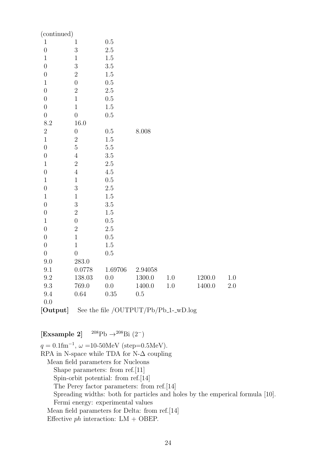| (continued)      |                  |         |            |         |        |         |
|------------------|------------------|---------|------------|---------|--------|---------|
| $\mathbf{1}$     | $\mathbf{1}$     | 0.5     |            |         |        |         |
| $\overline{0}$   | 3                | 2.5     |            |         |        |         |
| $\mathbf{1}$     | $\mathbf{1}$     | $1.5\,$ |            |         |        |         |
| $\overline{0}$   | 3                | 3.5     |            |         |        |         |
| $\boldsymbol{0}$ | $\overline{2}$   | $1.5\,$ |            |         |        |         |
| $\mathbf 1$      | $\overline{0}$   | $0.5\,$ |            |         |        |         |
| $\overline{0}$   | $\overline{2}$   | 2.5     |            |         |        |         |
| $\overline{0}$   | $\mathbf{1}$     | $0.5\,$ |            |         |        |         |
| $\boldsymbol{0}$ | $\mathbf 1$      | $1.5\,$ |            |         |        |         |
| $\overline{0}$   | $\overline{0}$   | 0.5     |            |         |        |         |
| 8.2              | 16.0             |         |            |         |        |         |
| $\sqrt{2}$       | $\boldsymbol{0}$ | $0.5\,$ | 8.008      |         |        |         |
| $\overline{1}$   | $\overline{2}$   | $1.5\,$ |            |         |        |         |
| $\overline{0}$   | $\overline{5}$   | $5.5\,$ |            |         |        |         |
| $\overline{0}$   | $\sqrt{4}$       | 3.5     |            |         |        |         |
| $1\,$            | $\overline{2}$   | $2.5\,$ |            |         |        |         |
| $\overline{0}$   | $\sqrt{4}$       | $4.5\,$ |            |         |        |         |
| $\mathbf{1}$     | $\mathbf{1}$     | $0.5\,$ |            |         |        |         |
| $\boldsymbol{0}$ | 3                | 2.5     |            |         |        |         |
| $\mathbf{1}$     | $\mathbf{1}$     | $1.5\,$ |            |         |        |         |
| $\overline{0}$   | 3                | $3.5\,$ |            |         |        |         |
| $\overline{0}$   | $\overline{2}$   | $1.5\,$ |            |         |        |         |
| $\mathbf 1$      | $\overline{0}$   | 0.5     |            |         |        |         |
| $\overline{0}$   | $\overline{2}$   | $2.5\,$ |            |         |        |         |
| $\overline{0}$   | $\mathbf{1}$     | $0.5\,$ |            |         |        |         |
| $\boldsymbol{0}$ | $\mathbf{1}$     | $1.5\,$ |            |         |        |         |
| $\overline{0}$   | $\boldsymbol{0}$ | 0.5     |            |         |        |         |
| 9.0              | 283.0            |         |            |         |        |         |
| $\,9.1$          | 0.0778           | 1.69706 | 2.94058    |         |        |         |
| $\rm 9.2$        | 138.03           | $0.0\,$ | $1300.0\,$ | $1.0\,$ | 1200.0 | $1.0\,$ |
| $\rm 9.3$        | 769.0            | $0.0\,$ | 1400.0     | 1.0     | 1400.0 | $2.0\,$ |
| $9.4\,$          | $0.64\,$         | 0.35    | $0.5\,$    |         |        |         |
| 0.0<br>$\sim$    |                  |         |            |         |        |         |

**[Output]** See the file /OUTPUT/Pb/Pb<sub>-1</sub>-wD.log

**[Exsample 2]** <sup>208</sup>Pb *→*<sup>208</sup>Bi (2*−*)

*q* = 0*.*1fm*−*<sup>1</sup> , *ω* =10-50MeV (step=0.5MeV). RPA in N-space while TDA for N- $\Delta$  coupling Mean field parameters for Nucleons Shape parameters: from ref.[11] Spin-orbit potential: from ref.[14] The Perey factor parameters: from ref.[14] Spreading widths: both for particles and holes by the emperical formula [10]. Fermi energy: experimental values Mean field parameters for Delta: from ref.[14] Effective *ph* interaction: LM + OBEP.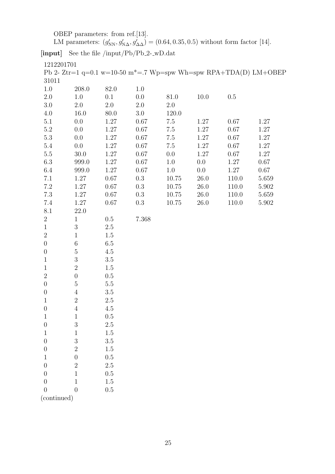OBEP parameters: from ref.[13].

LM parameters:  $(g'_{NN}, g'_{N\Delta}, g'_{\Delta\Delta}) = (0.64, 0.35, 0.5)$  without form factor [14].

[input] See the file /input/Pb/Pb<sub>-2</sub>-\_wD.dat

1212201701

Pb 2- Ztr=1 q=0.1 w=10-50 m<sup>\*</sup>=.7 Wp=spw Wh=spw RPA+TDA(D) LM+OBEP 31011

| 1.0              | 208.0            | 82.0     | 1.0      |         |          |          |       |
|------------------|------------------|----------|----------|---------|----------|----------|-------|
| 2.0              | 1.0              | 0.1      | 0.0      | 81.0    | 10.0     | 0.5      |       |
| $3.0\,$          | $2.0\,$          | 2.0      | $2.0\,$  | $2.0\,$ |          |          |       |
| 4.0              | 16.0             | 80.0     | 3.0      | 120.0   |          |          |       |
| $5.1\,$          | 0.0              | 1.27     | 0.67     | $7.5\,$ | 1.27     | 0.67     | 1.27  |
| $5.2\,$          | 0.0              | 1.27     | 0.67     | 7.5     | 1.27     | 0.67     | 1.27  |
| $5.3\,$          | 0.0              | 1.27     | $0.67\,$ | $7.5\,$ | 1.27     | $0.67\,$ | 1.27  |
| $5.4\,$          | 0.0              | 1.27     | 0.67     | 7.5     | 1.27     | 0.67     | 1.27  |
| $5.5\,$          | 30.0             | 1.27     | 0.67     | 0.0     | 1.27     | 0.67     | 1.27  |
| $6.3\,$          | 999.0            | $1.27\,$ | 0.67     | 1.0     | 0.0      | 1.27     | 0.67  |
| 6.4              | 999.0            | 1.27     | 0.67     | 1.0     | 0.0      | 1.27     | 0.67  |
| 7.1              | 1.27             | $0.67\,$ | 0.3      | 10.75   | $26.0\,$ | 110.0    | 5.659 |
| $7.2\,$          | 1.27             | 0.67     | 0.3      | 10.75   | 26.0     | 110.0    | 5.902 |
| $7.3\,$          | 1.27             | 0.67     | 0.3      | 10.75   | 26.0     | 110.0    | 5.659 |
| 7.4              | 1.27             | 0.67     | 0.3      | 10.75   | 26.0     | 110.0    | 5.902 |
| 8.1              | 22.0             |          |          |         |          |          |       |
| $\boldsymbol{2}$ | $\mathbf{1}$     | 0.5      | 7.368    |         |          |          |       |
| $\mathbf{1}$     | $\sqrt{3}$       | $2.5\,$  |          |         |          |          |       |
| $\overline{2}$   | $\mathbf{1}$     | 1.5      |          |         |          |          |       |
| $\boldsymbol{0}$ | $\,6$            | 6.5      |          |         |          |          |       |
| $\boldsymbol{0}$ | $\mathbf 5$      | 4.5      |          |         |          |          |       |
| $\mathbf{1}$     | $\sqrt{3}$       | $3.5\,$  |          |         |          |          |       |
| $\mathbf{1}$     | $\boldsymbol{2}$ | $1.5\,$  |          |         |          |          |       |
| $\overline{2}$   | $\boldsymbol{0}$ | 0.5      |          |         |          |          |       |
| $\boldsymbol{0}$ | $\bf 5$          | $5.5\,$  |          |         |          |          |       |
| $\boldsymbol{0}$ | $\overline{4}$   | $3.5\,$  |          |         |          |          |       |
| $\mathbf{1}$     | $\sqrt{2}$       | $2.5\,$  |          |         |          |          |       |
| $\boldsymbol{0}$ | $\,4\,$          | 4.5      |          |         |          |          |       |
| $\mathbf{1}$     | $\mathbf{1}$     | 0.5      |          |         |          |          |       |
| $\boldsymbol{0}$ | $\sqrt{3}$       | $2.5\,$  |          |         |          |          |       |
| $\mathbf{1}$     | $1\,$            | 1.5      |          |         |          |          |       |
| $\boldsymbol{0}$ | $\sqrt{3}$       | $3.5\,$  |          |         |          |          |       |
| $\overline{0}$   | $\overline{2}$   | $1.5\,$  |          |         |          |          |       |
| $\mathbf{1}$     | $\overline{0}$   | $0.5\,$  |          |         |          |          |       |
| $\boldsymbol{0}$ | $\overline{2}$   | $2.5\,$  |          |         |          |          |       |
| $\overline{0}$   | $\mathbf 1$      | 0.5      |          |         |          |          |       |
| $\boldsymbol{0}$ | $\mathbf{1}$     | $1.5\,$  |          |         |          |          |       |

 $0\qquad \qquad 0\qquad \qquad 0.5$ (continued)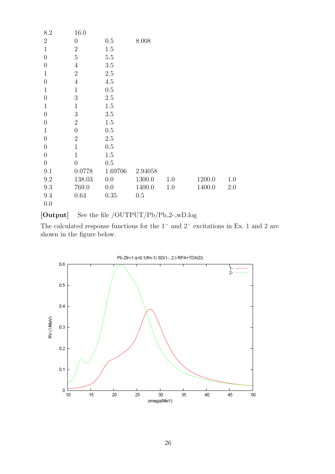| 8.2              | 16.0             |          |           |     |        |     |
|------------------|------------------|----------|-----------|-----|--------|-----|
| $\overline{2}$   | $\boldsymbol{0}$ | 0.5      | $8.008\,$ |     |        |     |
| $\mathbf{1}$     | $\sqrt{2}$       | 1.5      |           |     |        |     |
| $\overline{0}$   | $\overline{5}$   | $5.5\,$  |           |     |        |     |
| $\boldsymbol{0}$ | $\overline{4}$   | $3.5\,$  |           |     |        |     |
| $\mathbf{1}$     | $\boldsymbol{2}$ | $2.5\,$  |           |     |        |     |
| $\overline{0}$   | $\overline{4}$   | 4.5      |           |     |        |     |
| $\mathbf{1}$     | $\mathbf{1}$     | $0.5\,$  |           |     |        |     |
| $\overline{0}$   | 3                | $2.5\,$  |           |     |        |     |
| $\mathbf{1}$     | $\mathbf{1}$     | $1.5\,$  |           |     |        |     |
| $\overline{0}$   | $\sqrt{3}$       | 3.5      |           |     |        |     |
| $\boldsymbol{0}$ | $\overline{2}$   | $1.5\,$  |           |     |        |     |
| $\mathbf{1}$     | $\boldsymbol{0}$ | 0.5      |           |     |        |     |
| $\overline{0}$   | $\sqrt{2}$       | $2.5\,$  |           |     |        |     |
| $\boldsymbol{0}$ | $\mathbf{1}$     | $0.5\,$  |           |     |        |     |
| $\overline{0}$   | $\mathbf{1}$     | $1.5\,$  |           |     |        |     |
| $\overline{0}$   | $\overline{0}$   | 0.5      |           |     |        |     |
| 9.1              | 0.0778           | 1.69706  | 2.94058   |     |        |     |
| 9.2              | 138.03           | 0.0      | 1300.0    | 1.0 | 1200.0 | 1.0 |
| 9.3              | 769.0            | 0.0      | 1400.0    | 1.0 | 1400.0 | 2.0 |
| 9.4              | 0.64             | $0.35\,$ | 0.5       |     |        |     |
| 0.0              |                  |          |           |     |        |     |

[Output] See the file /OUTPUT/Pb/Pb<sub>-2--W</sub>D.log

The calculated response functions for the 1*<sup>−</sup>* and 2*<sup>−</sup>* excitations in Ex. 1 and 2 are shown in the figure below.

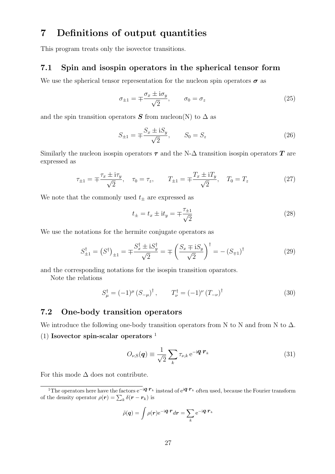## **7 Definitions of output quantities**

This program treats only the isovector transitions.

### **7.1 Spin and isospin operators in the spherical tensor form**

We use the spherical tensor representation for the nucleon spin operators  $\sigma$  as

$$
\sigma_{\pm 1} = \mp \frac{\sigma_x \pm i\sigma_y}{\sqrt{2}}, \qquad \sigma_0 = \sigma_z \tag{25}
$$

and the spin transition operators  $S$  from nucleon(N) to  $\Delta$  as

$$
S_{\pm 1} = \mp \frac{S_x \pm i S_y}{\sqrt{2}}, \qquad S_0 = S_z \tag{26}
$$

Similarly the nucleon isospin operators  $\tau$  and the N- $\Delta$  transition isospin operators  $T$  are expressed as

$$
\tau_{\pm 1} = \mp \frac{\tau_x \pm i\tau_y}{\sqrt{2}}, \quad \tau_0 = \tau_z, \qquad T_{\pm 1} = \mp \frac{T_x \pm iT_y}{\sqrt{2}}, \quad T_0 = T_z \tag{27}
$$

We note that the commonly used  $t_{\pm}$  are expressed as

$$
t_{\pm} = t_x \pm \mathrm{i}t_y = \mp \frac{\tau_{\pm 1}}{\sqrt{2}} \tag{28}
$$

We use the notations for the hermite conjugate operators as

$$
S_{\pm 1}^{\dagger} = (S^{\dagger})_{\pm 1} = \mp \frac{S_x^{\dagger} \pm i S_y^{\dagger}}{\sqrt{2}} = \mp \left(\frac{S_x \mp i S_y}{\sqrt{2}}\right)^{\dagger} = -(S_{\mp 1})^{\dagger} \tag{29}
$$

and the corresponding notations for the isospin transition oparators.

Note the relations

$$
S_{\mu}^{\dagger} = (-1)^{\mu} (S_{-\mu})^{\dagger}, \qquad T_{\nu}^{\dagger} = (-1)^{\nu} (T_{-\nu})^{\dagger}
$$
 (30)

### **7.2 One-body transition operators**

We introduce the following one-body transition operators from N to N and from N to  $\Delta$ .

#### (1) **Isovector spin-scalar operators** <sup>1</sup>

$$
O_{\nu,\mathrm{S}}(\boldsymbol{q}) \equiv \frac{1}{\sqrt{2}} \sum_{k} \tau_{\nu,k} \,\mathrm{e}^{-\mathrm{i} \boldsymbol{q} \cdot \boldsymbol{r}_k} \tag{31}
$$

For this mode  $\Delta$  does not contribute.

$$
\tilde{\rho}(\boldsymbol{q}) = \int \rho(\boldsymbol{r}) e^{-i\boldsymbol{q} \cdot \boldsymbol{r}} d\boldsymbol{r} = \sum_{k} e^{-i\boldsymbol{q} \cdot \boldsymbol{r}_{k}}
$$

<sup>1</sup>The operators here have the factors e*−*<sup>i</sup>*q·r<sup>k</sup>* instead of e<sup>i</sup>*q·r<sup>k</sup>* often used, because the Fourier transform of the density operator  $\rho(\mathbf{r}) = \sum_{k} \delta(\mathbf{r} - \mathbf{r}_k)$  is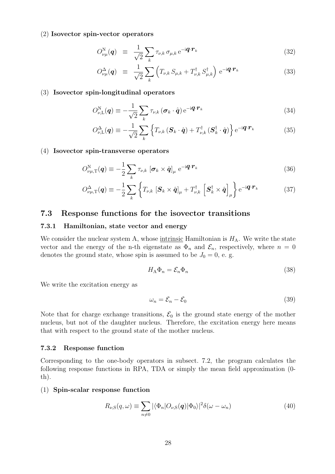#### (2) **Isovector spin-vector operators**

$$
O_{\nu\mu}^{\rm N}(\boldsymbol{q}) \equiv \frac{1}{\sqrt{2}} \sum_{k} \tau_{\nu,k} \,\sigma_{\mu,k} \,\mathrm{e}^{-\mathrm{i} \boldsymbol{q} \cdot \boldsymbol{r}_k} \tag{32}
$$

$$
O^{\Delta}_{\nu\mu}(\boldsymbol{q}) \equiv \frac{1}{\sqrt{2}} \sum_{k} \left( T_{\nu,k} S_{\mu,k} + T_{\nu,k}^{\dagger} S_{\mu,k}^{\dagger} \right) e^{-i\boldsymbol{q} \cdot \boldsymbol{r}_k}
$$
(33)

#### (3) **Isovector spin-longitudinal operators**

$$
O_{\nu,\mathrm{L}}^{\mathrm{N}}(\boldsymbol{q}) \equiv -\frac{1}{\sqrt{2}} \sum_{k} \tau_{\nu,k} (\boldsymbol{\sigma}_{k} \cdot \hat{\boldsymbol{q}}) e^{-i \boldsymbol{q} \cdot \boldsymbol{r}_{k}}
$$
(34)

$$
O_{\nu,\mathrm{L}}^{\Delta}(\boldsymbol{q}) \equiv -\frac{1}{\sqrt{2}} \sum_{k} \left\{ T_{\nu,k} \left( \boldsymbol{S}_{k} \cdot \hat{\boldsymbol{q}} \right) + T_{\nu,k}^{\dagger} \left( \boldsymbol{S}_{k}^{\dagger} \cdot \hat{\boldsymbol{q}} \right) \right\} e^{-i \boldsymbol{q} \cdot \boldsymbol{r}_{k}}
$$
(35)

#### (4) **Isovector spin-transverse operators**

$$
O_{\nu\mu,\mathrm{T}}^{\mathrm{N}}(\boldsymbol{q}) \equiv -\frac{1}{2} \sum_{k} \tau_{\nu,k} \left[ \boldsymbol{\sigma}_{k} \times \hat{\boldsymbol{q}} \right]_{\mu} e^{-i\boldsymbol{q} \cdot \boldsymbol{r}_{k}}
$$
(36)

$$
O_{\nu\mu,\mathrm{T}}^{\Delta}(\boldsymbol{q}) \equiv -\frac{1}{2} \sum_{k} \left\{ T_{\nu,k} \left[ \boldsymbol{S}_{k} \times \hat{\boldsymbol{q}} \right]_{\mu} + T_{\nu,k}^{\dagger} \left[ \boldsymbol{S}_{k}^{\dagger} \times \hat{\boldsymbol{q}} \right]_{\mu} \right\} e^{-i \boldsymbol{q} \cdot \boldsymbol{r}_{k}}
$$
(37)

### **7.3 Response functions for the isovector transitions**

#### **7.3.1 Hamiltonian, state vector and energy**

We consider the nuclear system A, whose <u>intrinsic</u> Hamiltonian is  $H_A$ . We write the state vector and the energy of the n-th eigenstate as  $\Phi_n$  and  $\mathcal{E}_n$ , respectively, where  $n = 0$ denotes the ground state, whose spin is assumed to be  $J_0 = 0$ , e. g.

$$
H_{\mathcal{A}}\Phi_n = \mathcal{E}_n \Phi_n \tag{38}
$$

We write the excitation energy as

$$
\omega_n = \mathcal{E}_n - \mathcal{E}_0 \tag{39}
$$

Note that for charge exchange transitions,  $\mathcal{E}_0$  is the ground state energy of the mother nucleus, but not of the daughter nucleus. Therefore, the excitation energy here means that with respect to the ground state of the mother nucleus.

#### **7.3.2 Response function**

Corresponding to the one-body operators in subsect. 7.2, the program calculates the following response functions in RPA, TDA or simply the mean field approximation (0 th).

#### (1) **Spin-scalar response function**

$$
R_{\nu,S}(q,\omega) \equiv \sum_{n \neq 0} |\langle \Phi_n | O_{\nu,S}(q) | \Phi_0 \rangle|^2 \delta(\omega - \omega_n)
$$
\n(40)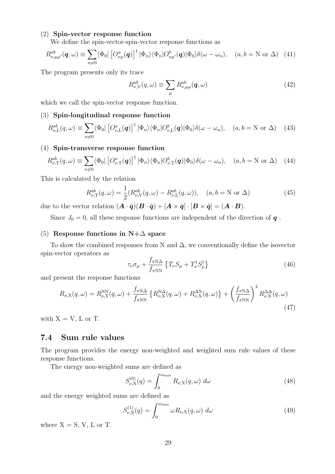### (2) **Spin-vector response function**

We define the spin-vector-spin-vector response functions as

$$
R_{\nu,\mu\mu'}^{ab}(\boldsymbol{q},\omega) \equiv \sum_{n\neq 0} \langle \Phi_0 | \left[ O_{\nu\mu}^a(\boldsymbol{q}) \right]^\dagger | \Phi_n \rangle \langle \Phi_n | O_{\nu\mu'}^b(\boldsymbol{q}) | \Phi_0 \rangle \delta(\omega - \omega_n), \quad (a,b = \mathcal{N} \text{ or } \Delta) \quad (41)
$$

The program presents only its trace

$$
R_{\nu,\mathcal{V}}^{ab}(q,\omega) \equiv \sum_{\mu} R_{\nu,\mu\mu}^{ab}(q,\omega) \tag{42}
$$

which we call the spin-vector response function.

#### (3) **Spin-longitudinal response function**

$$
R_{\nu,\mathcal{L}}^{ab}(q,\omega) \equiv \sum_{n \neq 0} \langle \Phi_0 | \left[ O_{\nu,\mathcal{L}}^a(q) \right]^\dagger | \Phi_n \rangle \langle \Phi_n | O_{\nu,\mathcal{L}}^b(q) | \Phi_0 \rangle \delta(\omega - \omega_n), \quad (a, b = \mathcal{N} \text{ or } \Delta) \tag{43}
$$

#### (4) **Spin-transverse response function**

$$
R_{\nu,\mathrm{T}}^{ab}(q,\omega) \equiv \sum_{n\neq 0} \langle \Phi_0 | \left[ O_{\nu,\mathrm{T}}^a(q) \right]^\dagger | \Phi_n \rangle \langle \Phi_n | O_{\nu,\mathrm{T}}^b(q) | \Phi_0 \rangle \delta(\omega - \omega_n), \quad (a,b=\mathrm{N} \text{ or } \Delta) \quad (44)
$$

This is calculated by the relation

$$
R_{\nu,\text{T}}^{ab}(q,\omega) = \frac{1}{2}(R_{\nu,\text{V}}^{ab}(q,\omega) - R_{\nu,\text{L}}^{ab}(q,\omega)), \quad (a,b=\text{N or } \Delta)
$$
 (45)

due to the vector relation  $(\mathbf{A} \cdot \hat{\mathbf{q}})(\mathbf{B} \cdot \hat{\mathbf{q}}) + [\mathbf{A} \times \hat{\mathbf{q}}] \cdot [\mathbf{B} \times \hat{\mathbf{q}}] = (\mathbf{A} \cdot \mathbf{B}).$ 

Since  $J_0 = 0$ , all these response functions are independent of the direction of  $q$ .

#### (5) **Response functions in N+**∆ **space**

To show the combined responses from N and  $\Delta$ , we conventionally define the isovector spin-vector operators as

$$
\tau_{\nu}\sigma_{\mu} + \frac{f_{\pi N\Delta}}{f_{\pi NN}} \left\{ T_{\nu}S_{\mu} + T_{\nu}^{\dagger}S_{\mu}^{\dagger} \right\} \tag{46}
$$

and present the response functions

$$
R_{\nu,X}(q,\omega) = R_{\nu,X}^{NN}(q,\omega) + \frac{f_{\pi N\Delta}}{f_{\pi NN}} \left\{ R_{\nu,X}^{N\Delta}(q,\omega) + R_{\nu,X}^{\Delta N}(q,\omega) \right\} + \left( \frac{f_{\pi N\Delta}}{f_{\pi NN}} \right)^2 R_{\nu,X}^{\Delta\Delta}(q,\omega)
$$
\n(47)

with  $X = V$ , L or T.

### **7.4 Sum rule values**

The program provides the energy non-weighted and weighted sum rule values of these response functions.

The energy non-weighted sums are defined as

$$
S_{\nu,X}^{(0)}(q) = \int_0^{\omega_{\text{max}}} R_{\nu,X}(q,\omega) d\omega \qquad (48)
$$

and the energy weighted sums are defined as

$$
S_{\nu,X}^{(1)}(q) = \int_0^{\omega_{\text{max}}} \omega R_{\nu,X}(q,\omega) \, d\omega \tag{49}
$$

where  $X = S$ ,  $V$ ,  $L$  or  $T$ .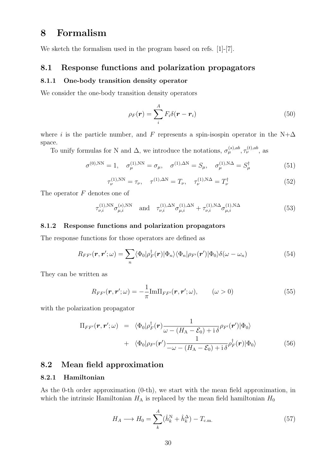## **8 Formalism**

We sketch the formalism used in the program based on refs. [1]-[7].

#### **8.1 Response functions and polarization propagators**

#### **8.1.1 One-body transition density operator**

We consider the one-body transition density operators

$$
\rho_F(\mathbf{r}) = \sum_i^A F_i \delta(\mathbf{r} - \mathbf{r}_i)
$$
\n(50)

where *i* is the particle number, and *F* represents a spin-isospin operator in the N+ $\Delta$ space.

To unify formulas for N and  $\Delta$ , we introduce the notations,  $\sigma_{\mu}^{(s),ab}, \tau_{\nu}^{(t),ab}$ , as

$$
\sigma^{(0),\text{NN}} = 1, \quad \sigma_{\mu}^{(1),\text{NN}} = \sigma_{\mu}, \quad \sigma^{(1),\Delta\text{N}} = S_{\mu}, \quad \sigma_{\mu}^{(1),\text{NN}} = S_{\mu}^{\dagger} \tag{51}
$$

$$
\tau_{\nu}^{(1),\text{NN}} = \tau_{\nu}, \quad \tau^{(1),\Delta N} = T_{\nu}, \quad \tau_{\nu}^{(1),\text{NN}} = T_{\nu}^{\dagger} \tag{52}
$$

The operator *F* denotes one of

$$
\tau_{\nu,i}^{(1),\text{NN}} \sigma_{\mu,i}^{(s),\text{NN}} \quad \text{and} \quad \tau_{\nu,i}^{(1),\Delta\text{N}} \sigma_{\mu,i}^{(1),\Delta\text{N}} + \tau_{\nu,i}^{(1),\text{N}\Delta} \sigma_{\mu,i}^{(1),\text{N}\Delta} \tag{53}
$$

#### **8.1.2 Response functions and polarization propagators**

The response functions for those operators are defined as

$$
R_{FF'}(\boldsymbol{r},\boldsymbol{r}';\omega)=\sum_{n}\langle\Phi_{0}|\rho_{F}^{\dagger}(\boldsymbol{r})|\Phi_{n}\rangle\langle\Phi_{n}|\rho_{F'}(\boldsymbol{r}')|\Phi_{0}\rangle\delta(\omega-\omega_{n})
$$
\n(54)

They can be written as

$$
R_{FF'}(\boldsymbol{r},\boldsymbol{r}';\omega)=-\frac{1}{\pi}\text{Im}\Pi_{FF'}(\boldsymbol{r},\boldsymbol{r}';\omega),\qquad(\omega>0)
$$
\n(55)

with the polarization propagator

$$
\Pi_{FF'}(\boldsymbol{r},\boldsymbol{r}';\omega) = \langle \Phi_0 | \rho_F^{\dagger}(\boldsymbol{r}) \frac{1}{\omega - (H_{\rm A} - \mathcal{E}_0) + i \delta} \rho_{F'}(\boldsymbol{r}') | \Phi_0 \rangle \n+ \langle \Phi_0 | \rho_{F'}(\boldsymbol{r}') \frac{1}{-\omega - (H_{\rm A} - \mathcal{E}_0) + i \delta} \rho_F^{\dagger}(\boldsymbol{r}) | \Phi_0 \rangle
$$
\n(56)

### **8.2 Mean field approximation**

#### **8.2.1 Hamiltonian**

As the 0-th order approximation (0-th), we start with the mean field approximation, in which the intrinsic Hamiltonian  $H_A$  is replaced by the mean field hamiltonian  $H_0$ 

$$
H_A \longrightarrow H_0 = \sum_{k}^{A} (\hat{h}_k^N + \hat{h}_k^{\Delta}) - T_{\text{c.m.}} \tag{57}
$$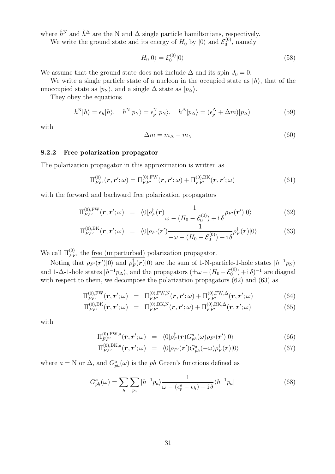where  $\hat{h}^N$  and  $\hat{h}^{\Delta}$  are the N and  $\Delta$  single particle hamiltonians, respectively.

We write the ground state and its energy of  $H_0$  by  $|0\rangle$  and  $\mathcal{E}_0^{(0)}$  $v_0^{(0)}$ , namely

$$
H_0|0\rangle = \mathcal{E}_0^{(0)}|0\rangle \tag{58}
$$

We assume that the ground state does not include  $\Delta$  and its spin  $J_0 = 0$ .

We write a single particle state of a nucleon in the occupied state as *|h⟩*, that of the unoccupied state as  $|p_N\rangle$ , and a single  $\Delta$  state as  $|p_\Delta\rangle$ .

They obey the equations

$$
h^{\mathcal{N}}|h\rangle = \epsilon_h|h\rangle, \quad h^{\mathcal{N}}|p_{\mathcal{N}}\rangle = \epsilon_p^{\mathcal{N}}|p_{\mathcal{N}}\rangle, \quad h^{\Delta}|p_{\Delta}\rangle = (\epsilon_p^{\Delta} + \Delta m)|p_{\Delta}\rangle \tag{59}
$$

with

$$
\Delta m = m_{\Delta} - m_{\rm N} \tag{60}
$$

#### **8.2.2 Free polarization propagator**

The polarization propagator in this approximation is written as

$$
\Pi_{FF'}^{(0)}(\bm{r},\bm{r}';\omega) = \Pi_{FF'}^{(0),FW}(\bm{r},\bm{r}';\omega) + \Pi_{FF'}^{(0),BK}(\bm{r},\bm{r}';\omega)
$$
(61)

with the forward and bachward free polarization propagators

$$
\Pi_{FF'}^{(0),FW}(\boldsymbol{r},\boldsymbol{r}';\omega) = \langle 0|\rho_F^{\dagger}(\boldsymbol{r})\frac{1}{\omega - (H_0 - \mathcal{E}_0^{(0)}) + i\delta}\rho_{F'}(\boldsymbol{r}')|0\rangle \tag{62}
$$

$$
\Pi_{FF'}^{(0),\text{BK}}(\boldsymbol{r},\boldsymbol{r}';\omega) = \langle 0|\rho_{F'}(\boldsymbol{r}') \frac{1}{-\omega - (H_0 - \mathcal{E}_0^{(0)}) + \mathrm{i}\,\delta} \rho_F^{\dagger}(\boldsymbol{r})|0\rangle \tag{63}
$$

We call  $\Pi_{FF'}^{(0)}$  the <u>free (unperturbed)</u> polarization propagator.

Noting that  $\rho_{F'}(\mathbf{r}')|0\rangle$  and  $\rho_F^{\dagger}(\mathbf{r})|0\rangle$  are the sum of 1-N-particle-1-hole states  $|h^{-1}p_N\rangle$ and 1- $\Delta$ -1-hole states  $|h^{-1}p_{\Delta}\rangle$ , and the propagators  $(\pm \omega - (H_0 - \mathcal{E}_0^{(0)}) + i \delta)^{-1}$  are diagnal with respect to them, we decompose the polarization propagators  $(62)$  and  $(63)$  as

$$
\Pi_{FF'}^{(0),FW}(\boldsymbol{r}, \boldsymbol{r}'; \omega) = \Pi_{FF'}^{(0), FW, N}(\boldsymbol{r}, \boldsymbol{r}'; \omega) + \Pi_{FF'}^{(0), FW, \Delta}(\boldsymbol{r}, \boldsymbol{r}'; \omega)
$$
(64)

$$
\Pi_{FF'}^{(0),\text{BK}}(\boldsymbol{r},\boldsymbol{r}';\omega) = \Pi_{FF'}^{(0),\text{BK},\text{N}}(\boldsymbol{r},\boldsymbol{r}';\omega) + \Pi_{FF'}^{(0),\text{BK},\Delta}(\boldsymbol{r},\boldsymbol{r}';\omega)
$$
(65)

with

$$
\Pi_{FF'}^{(0),FW,a}(\boldsymbol{r},\boldsymbol{r}';\omega) = \langle 0|\rho_F^{\dagger}(\boldsymbol{r})G_{ph}^{a}(\omega)\rho_{F'}(\boldsymbol{r}')|0\rangle \tag{66}
$$

$$
\Pi_{FF'}^{(0),\text{BK},a}(\boldsymbol{r},\boldsymbol{r}';\omega) = \langle 0|\rho_{F'}(\boldsymbol{r}')G_{ph}^a(-\omega)\rho_F^{\dagger}(\boldsymbol{r})|0\rangle \tag{67}
$$

where  $a = N$  or  $\Delta$ , and  $G_{ph}^a(\omega)$  is the *ph* Green's functions defined as

$$
G_{ph}^{a}(\omega) = \sum_{h} \sum_{p_a} |h^{-1}p_a\rangle \frac{1}{\omega - (\epsilon_p^a - \epsilon_h) + i\,\delta} \langle h^{-1}p_a| \tag{68}
$$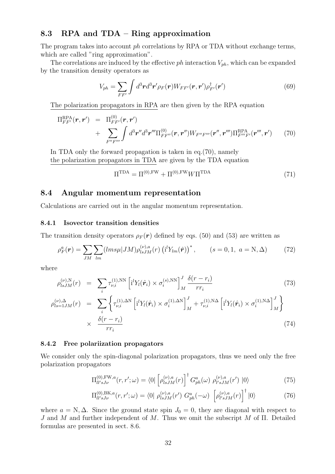### **8.3 RPA and TDA – Ring approximation**

The program takes into account *ph* correlations by RPA or TDA without exchange terms, which are called "ring approximation".

The correlations are induced by the effective *ph* interaction *Vph*, which can be expanded by the transition density operators as

$$
V_{ph} = \sum_{FF'} \int d^3 \boldsymbol{r} d^3 \boldsymbol{r}' \rho_F(\boldsymbol{r}) W_{FF'}(\boldsymbol{r}, \boldsymbol{r}') \rho_{F'}^{\dagger}(\boldsymbol{r}')
$$
(69)

The polarization propagators in RPA are then given by the RPA equation

$$
\Pi_{FF'}^{\text{RPA}}(\boldsymbol{r},\boldsymbol{r}') = \Pi_{FF'}^{(0)}(\boldsymbol{r},\boldsymbol{r}')
$$
  
+ 
$$
\sum_{F''F'''} \int d^3\boldsymbol{r}'' d^3\boldsymbol{r}''' \Pi_{FF''}^{(0)}(\boldsymbol{r},\boldsymbol{r}'') W_{F''F'''}(\boldsymbol{r}'',\boldsymbol{r}''') \Pi_{F'''F'}^{\text{RPA}}(\boldsymbol{r}''',\boldsymbol{r}') \qquad (70)
$$

In TDA only the forward propagation is taken in eq.(70), namely the polarization propagators in TDA are given by the TDA equation

$$
\Pi^{\text{TDA}} = \Pi^{(0), \text{FW}} + \Pi^{(0), \text{FW}} W \Pi^{\text{TDA}} \tag{71}
$$

#### **8.4 Angular momentum representation**

Calculations are carried out in the angular momentum representation.

#### **8.4.1 Isovector transition densities**

The transition density operators  $\rho_F(\mathbf{r})$  defined by eqs. (50) and (53) are written as

$$
\rho_F^a(\mathbf{r}) = \sum_{JM} \sum_{lm} (lms\mu |JM) \rho_{lsJM}^{(\nu),a}(r) \left( \mathbf{i}^l Y_{lm}(\hat{\mathbf{r}}) \right)^*, \qquad (s = 0, 1, a = \mathbf{N}, \Delta) \tag{72}
$$

where

$$
\rho_{lsJM}^{(\nu),N}(r) = \sum_{i} \tau_{\nu,i}^{(1),NN} \left[ i^l Y_i(\hat{\boldsymbol{r}}_i) \times \sigma_i^{(s),NN} \right]_M^J \frac{\delta(r - r_i)}{r r_i}
$$
(73)  

$$
\rho_{ls=1JM}^{(\nu),\Delta}(r) = \sum_{i} \left\{ \tau_{\nu,i}^{(1),\Delta N} \left[ i^l Y_i(\hat{\boldsymbol{r}}_i) \times \sigma_i^{(1),\Delta N} \right]_M^J + \tau_{\nu,i}^{(1),N\Delta} \left[ i^l Y_i(\hat{\boldsymbol{r}}_i) \times \sigma_i^{(1),N\Delta} \right]_M^J \right\}
$$

$$
\times \frac{\delta(r - r_i)}{r r_i}
$$
(74)

#### **8.4.2 Free polariization propagators**

We consider only the spin-diagonal polarization propagators, thus we need only the free polarization propagators

$$
\Pi_{ll'sJ\nu}^{(0),\text{FW},a}(r,r';\omega) = \langle 0|\left[\rho_{lsJM}^{(\nu),a}(r)\right]^{\dagger} G_{ph}^{a}(\omega) \; \rho_{l'sJM}^{(\nu),a}(r') \; |0\rangle \tag{75}
$$

$$
\Pi_{ll'sJ\nu}^{(0),\text{BK},a}(r,r';\omega) = \langle 0 | \rho_{lsJM}^{(\nu),a}(r') G_{ph}^{a}(-\omega) \left[ \rho_{l'sJM}^{(\nu),a}(r) \right]^{\dagger} |0\rangle \tag{76}
$$

where  $a = N$ ,  $\Delta$ . Since the ground state spin  $J_0 = 0$ , they are diagonal with respect to *J* and *M* and further independent of *M*. Thus we omit the subscript *M* of Π. Detailed formulas are presented in sect. 8.6.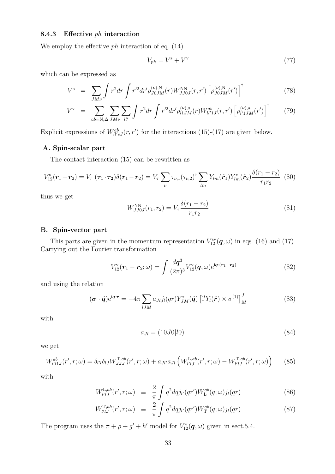#### **8.4.3 Effective** *ph* **interaction**

We employ the effective *ph* interaction of eq. (14)

$$
V_{ph} = V^{\rm s} + V^{\rm v} \tag{77}
$$

which can be expressed as

$$
V^s = \sum_{JM\nu} \int r^2 dr \int r'^2 dr' \rho_{J0JM}^{(\nu),N}(r) W_{JJ0J}^{NN}(r,r') \left[ \rho_{J0JM}^{(\nu),N}(r') \right]^\dagger \tag{78}
$$

$$
V^{v} = \sum_{ab=N,\Delta} \sum_{JM\nu} \sum_{ll'} \int r^{2} dr \int r'^{2} dr' \rho_{l1JM}^{(\nu),a}(r) W_{ll'1J}^{ab}(r,r') \left[ \rho_{l'1JM}^{(\nu),a}(r') \right]^{\dagger} \tag{79}
$$

Explicit expressions of  $W_{ll'sJ}^{ab}(r, r')$  for the interactions (15)-(17) are given below.

#### **A. Spin-scalar part**

The contact interaction (15) can be rewritten as

$$
V_{12}^{\rm s}(\boldsymbol{r}_1 - \boldsymbol{r}_2) = V_{\tau} (\boldsymbol{\tau}_1 \cdot \boldsymbol{\tau}_2) \delta(\boldsymbol{r}_1 - \boldsymbol{r}_2) = V_{\tau} \sum_{\nu} \tau_{\nu,1} (\tau_{\nu,2})^{\dagger} \sum_{lm} Y_{lm} (\hat{\boldsymbol{r}}_1) Y_{lm}^* (\hat{\boldsymbol{r}}_2) \frac{\delta(r_1 - r_2)}{r_1 r_2}
$$
(80)

thus we get

$$
W_{JJ0J}^{\rm NN}(r_1, r_2) = V_\tau \frac{\delta(r_1 - r_2)}{r_1 r_2} \tag{81}
$$

#### **B. Spin-vector part**

This parts are given in the momentum representation  $V_{12}^{\text{sv}}(\boldsymbol{q},\omega)$  in eqs. (16) and (17). Carrying out the Fourier transformation

$$
V_{12}^{\text{v}}(\boldsymbol{r}_1 - \boldsymbol{r}_2; \omega) = \int \frac{d\boldsymbol{q}^3}{(2\pi)^3} V_{12}^{\text{v}}(\boldsymbol{q}, \omega) e^{i\boldsymbol{q} \cdot (\boldsymbol{r}_1 - \boldsymbol{r}_2)} \tag{82}
$$

and using the relation

$$
(\boldsymbol{\sigma} \cdot \hat{\boldsymbol{q}}) e^{i\boldsymbol{q} \cdot \boldsymbol{r}} = -4\pi \sum_{lJM} a_{JI} j_l(qr) Y^*_{JM}(\hat{\boldsymbol{q}}) \left[ i^l Y_l(\hat{\boldsymbol{r}}) \times \sigma^{(1)} \right]_M^J
$$
(83)

with

$$
a_{Jl} = (10J0|l0) \tag{84}
$$

we get

$$
W_{l'l1J}^{ab}(r',r;\omega) = \delta_{l'l}\delta_{lJ}W_{JJJ}^{\text{T},ab}(r',r;\omega) + a_{Jl'}a_{Jl} \left(W_{l'lJ}^{\text{L},ab}(r',r;\omega) - W_{l'lJ}^{\text{T},ab}(r',r;\omega)\right) \tag{85}
$$

with

$$
W_{l'lJ}^{\text{L},ab}(r',r;\omega) \equiv \frac{2}{\pi} \int q^2 dq j_{l'}(qr') W_{\text{L}}^{ab}(q;\omega) j_{l}(qr) \tag{86}
$$

$$
W_{l'lJ}^{\mathrm{T},ab}(r',r;\omega) \equiv \frac{2}{\pi} \int q^2 dq j_{l'}(qr') W_{\mathrm{T}}^{ab}(q;\omega) j_{l}(qr) \tag{87}
$$

The program uses the  $\pi + \rho + g' + h'$  model for  $V_{12}^{\rm v}(\boldsymbol{q}, \omega)$  given in sect.5.4.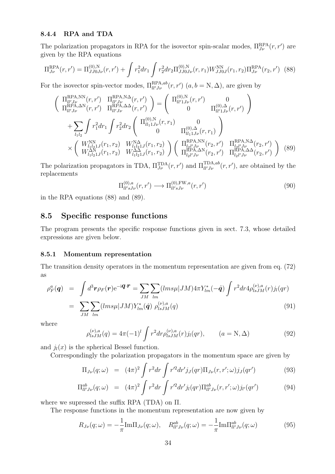#### **8.4.4 RPA and TDA**

The polarization propagators in RPA for the isovector spin-scalar modes,  $\Pi_{J\nu}^{\text{RPA}}(r,r')$  are given by the RPA equations

$$
\Pi_{J\nu}^{\text{RPA}}(r,r') = \Pi_{JJ0J\nu}^{(0),\text{N}}(r,r') + \int r_1^2 dr_1 \int r_2^2 dr_2 \Pi_{JJ0J\nu}^{(0),\text{N}}(r,r_1) W_{JJ0J}^{\text{NN}}(r_1,r_2) \Pi_{J\nu}^{\text{RPA}}(r_2,r') \tag{88}
$$

For the isovector spin-vector modes,  $\Pi_{ll'J\nu}^{RPA,ab}(r,r')$   $(a,b=N,\Delta)$ , are given by

$$
\begin{pmatrix}\n\Pi_{ll'J\nu}^{RPA,NN}(r,r') & \Pi_{ll'J\nu}^{RPA,NA}(r,r') \\
\Pi_{ll'J\nu}^{RPA, \Delta N}(r,r') & \Pi_{ll'J\nu}^{RPA, \Delta\Delta}(r,r')\n\end{pmatrix} = \begin{pmatrix}\n\Pi_{ll'1J\nu}^{(0),N}(r,r') & 0 \\
0 & \Pi_{ll'1J\nu}^{(0),\Delta}(r,r')\n\end{pmatrix}
$$
\n
$$
+ \sum_{l_1l_2} \int r_1^2 dr_1 \int r_2^2 dr_2 \begin{pmatrix}\n\Pi_{ll_11J\nu}^{(0),N}(r,r_1) & 0 \\
0 & \Pi_{ll_11J\nu}^{(0),\Delta}(r,r_1)\n\end{pmatrix}
$$
\n
$$
\times \begin{pmatrix}\nW_{l_1l_21J}^{NN}(r_1,r_2) & W_{l_1l_21J}^{N\Delta}(r_1,r_2) \\
W_{l_1l_21J}^{NN}(r_1,r_2) & W_{l_1l_21J}^{N\Delta}(r_1,r_2)\n\end{pmatrix} \begin{pmatrix}\n\Pi_{l_2l'J\nu}^{RPA,NN}(r_2,r') & \Pi_{l_2l'J\nu}^{RPA,NA}(r_2,r') \\
\Pi_{l_2l'J\nu}^{RPA, \Delta\Delta}(r_2,r') & \Pi_{l_2l'J\nu}^{RPA, \Delta\Delta}(r_2,r')\n\end{pmatrix} (89)
$$

The polarization propagators in TDA,  $\Pi_{J\nu}^{\text{TDA}}(r,r')$  and  $\Pi_{ll'J\nu}^{\text{TDA},ab}(r,r')$ , are obtained by the replacements

$$
\Pi_{ll'sJ\nu}^{(0),a}(r,r') \longrightarrow \Pi_{ll'sJ\nu}^{(0),\text{FW},a}(r,r')\tag{90}
$$

in the RPA equations (88) and (89).

### **8.5 Specific response functions**

The program presents the specific response functions given in sect. 7.3, whose detailed expressions are given below.

#### **8.5.1 Momentum representation**

The transition density operators in the momentum representation are given from eq. (72) as

$$
\rho_F^a(\mathbf{q}) = \int d^3 \mathbf{r} \rho_F(\mathbf{r}) e^{-i\mathbf{q} \cdot \mathbf{r}} = \sum_{JM} \sum_{lm} (lms\mu |JM) 4\pi Y_{lm}^*(-\hat{\mathbf{q}}) \int r^2 dr 4\rho_{lsJM}^{(\nu),a}(r) j_l(qr)
$$
  
= 
$$
\sum_{JM} \sum_{lm} (lms\mu |JM) Y_{lm}^*(\hat{\mathbf{q}}) \rho_{lsJM}^{(\nu),a}(q)
$$
(91)

where

$$
\rho_{lsJM}^{(\nu),a}(q) = 4\pi (-1)^l \int r^2 dr \rho_{lsJM}^{(\nu),a}(r) j_l(qr), \qquad (a = N, \Delta)
$$
\n(92)

and  $j_l(x)$  is the spherical Bessel function.

Correspondingly the polarization propagators in the momentum space are given by

$$
\Pi_{J\nu}(q;\omega) = (4\pi)^2 \int r^2 dr \int r'^2 dr' j_J(qr) \Pi_{J\nu}(r,r';\omega) j_J(qr') \tag{93}
$$

$$
\Pi_{ll'J\nu}^{ab}(q;\omega) = (4\pi)^2 \int r^2 dr \int r'^2 dr' j_l(qr) \Pi_{ll'J\nu}^{ab}(r,r';\omega) j_{l'}(qr') \tag{94}
$$

where we supressed the suffix RPA (TDA) on Π.

The response functions in the momentum representation are now given by

$$
R_{J\nu}(q;\omega) = -\frac{1}{\pi} \text{Im} \Pi_{J\nu}(q;\omega), \quad R_{ll'J\nu}^{ab}(q;\omega) = -\frac{1}{\pi} \text{Im} \Pi_{ll'J\nu}^{ab}(q;\omega)
$$
(95)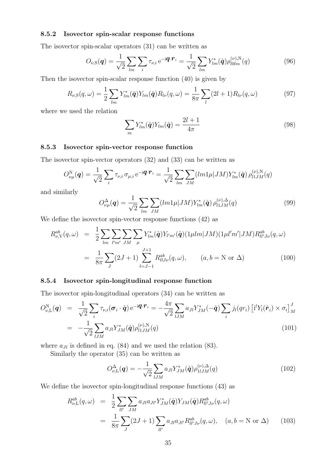#### **8.5.2 Isovector spin-scalar response functions**

The isovector spin-scalar operators (31) can be written as

$$
O_{\nu,S}(\boldsymbol{q}) = \frac{1}{\sqrt{2}} \sum_{lm} \sum_{i} \tau_{\nu,i} e^{-i\boldsymbol{q} \cdot \boldsymbol{r}_i} = \frac{1}{\sqrt{2}} \sum_{lm} Y_{lm}^*(\hat{\boldsymbol{q}}) \rho_{l0lm}^{(\nu),N}(q)
$$
(96)

Then the isovector spin-scalar response function (40) is given by

$$
R_{\nu,S}(q,\omega) = \frac{1}{2} \sum_{lm} Y_{lm}^*(\hat{\mathbf{q}}) Y_{lm}(\hat{\mathbf{q}}) R_{l\nu}(q,\omega) = \frac{1}{8\pi} \sum_{l} (2l+1) R_{l\nu}(q,\omega)
$$
(97)

where we used the relation

$$
\sum_{m} Y_{lm}^*(\hat{\boldsymbol{q}}) Y_{lm}(\hat{\boldsymbol{q}}) = \frac{2l+1}{4\pi} \tag{98}
$$

#### **8.5.3 Isovector spin-vector response function**

The isovector spin-vector operators (32) and (33) can be written as

$$
O_{\nu\mu}^{\rm N}(\boldsymbol{q}) = \frac{1}{\sqrt{2}} \sum_{i} \tau_{\nu,i} \,\sigma_{\mu,i} \,\mathrm{e}^{-i\boldsymbol{q} \cdot \boldsymbol{r}_i} = \frac{1}{\sqrt{2}} \sum_{lm} \sum_{JM} (lm1\mu |JM) Y_{lm}^*(\hat{\boldsymbol{q}}) \,\rho_{l1JM}^{(\nu),\rm N}(q)
$$

and similarly

$$
O_{\nu\mu}^{\Delta}(\mathbf{q}) = \frac{1}{\sqrt{2}} \sum_{lm} \sum_{JM} (lm1\mu |JM) Y_{lm}^*(\hat{\mathbf{q}}) \rho_{l1JM}^{(\nu),\Delta}(q)
$$
(99)

We define the isovector spin-vector response functions (42) as

$$
R_{\nu,V}^{ab}(q,\omega) = \frac{1}{2} \sum_{lm} \sum_{l'm'} \sum_{JM} \sum_{\mu} Y_{lm}^{*}(\hat{\mathbf{q}}) Y_{l'm'}(\hat{\mathbf{q}}) (1 \mu lm |JM) (1 \mu l'm'|JM) R_{ll'J\nu}^{ab}(q,\omega)
$$
  

$$
= \frac{1}{8\pi} \sum_{J} (2J+1) \sum_{l=J-1}^{J+1} R_{llJ\nu}^{ab}(q,\omega), \qquad (a,b = N \text{ or } \Delta)
$$
(100)

#### **8.5.4 Isovector spin-longitudinal response function**

The isovector spin-longitudinal operators (34) can be written as

$$
O_{\nu,\mathrm{L}}^{\mathrm{N}}(\boldsymbol{q}) = \frac{1}{\sqrt{2}} \sum_{i} \tau_{\nu,i}(\boldsymbol{\sigma}_{i} \cdot \hat{\boldsymbol{q}}) e^{-i\boldsymbol{q} \cdot \boldsymbol{r}_{i}} = -\frac{4\pi}{\sqrt{2}} \sum_{lJM} a_{Jl} Y_{JM}^{*}(-\hat{\boldsymbol{q}}) \sum_{i} j_{l}(qr_{i}) \left[ i^{l} Y_{l}(\hat{\boldsymbol{r}}_{i}) \times \sigma_{i} \right]_{M}^{J}
$$

$$
= -\frac{1}{\sqrt{2}} \sum_{lJM} a_{Jl} Y_{JM}^{*}(\hat{\boldsymbol{q}}) \rho_{l1JM}^{(\nu),\mathrm{N}}(q) \tag{101}
$$

where  $a_{Jl}$  is defined in eq. (84) and we used the relation (83).

Similarly the operator (35) can be written as

$$
O_{\nu,\mathrm{L}}^{\Delta}(\mathbf{q}) = -\frac{1}{\sqrt{2}} \sum_{lJM} a_{JI} Y_{JM}^*(\hat{\mathbf{q}}) \rho_{1lJM}^{(\nu),\Delta}(q) \tag{102}
$$

We define the isovector spin-longitudinal response functions (43) as

$$
R_{\nu,\mathcal{L}}^{ab}(q,\omega) = \frac{1}{2} \sum_{ll'} \sum_{JM} a_{Jl} a_{Jl'} Y_{JM}^* (\hat{\mathbf{q}}) Y_{JM} (\hat{\mathbf{q}}) R_{ll'J\nu}^{ab}(q,\omega)
$$
  

$$
= \frac{1}{8\pi} \sum_{J} (2J+1) \sum_{ll'} a_{Jl} a_{Jl'} R_{ll'J\nu}^{ab}(q,\omega), \quad (a,b=\mathcal{N} \text{ or } \Delta) \qquad (103)
$$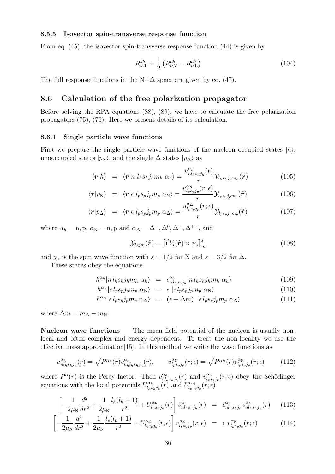#### **8.5.5 Isovector spin-transverse response function**

From eq. (45), the isovector spin-transverse response function (44) is given by

$$
R_{\nu,\text{T}}^{ab} = \frac{1}{2} \left( R_{\nu,\text{V}}^{ab} - R_{\nu,\text{L}}^{ab} \right) \tag{104}
$$

The full response functions in the  $N+\Delta$  space are given by eq. (47).

#### **8.6 Calculation of the free polarization propagator**

Before solving the RPA equations (88), (89), we have to calculate the free polarization propagators (75), (76). Here we present details of its calculation.

#### **8.6.1 Single particle wave functions**

First we prepare the single particle wave functions of the nucleon occupied states  $|h\rangle$ , unooccupied states  $|p_N\rangle$ , and the single  $\Delta$  states  $|p_\Delta\rangle$  as

$$
\langle \mathbf{r} | h \rangle = \langle \mathbf{r} | n \; l_h s_h j_h m_h \; \alpha_h \rangle = \frac{u_{n l_h s_h j_h}^{\alpha_h}(r)}{r} \mathcal{Y}_{l_h s_h j_h m_h}(\hat{\mathbf{r}}) \tag{105}
$$

$$
\langle \mathbf{r} | p_{\rm N} \rangle = \langle \mathbf{r} | \epsilon \; l_p s_p j_p m_p \; \alpha_{\rm N} \rangle = \frac{u_{l_p s_p j_p}^{\alpha_{\rm N}}(r; \epsilon)}{r} \mathcal{Y}_{l_p s_p j_p m_p}(\hat{\mathbf{r}}) \tag{106}
$$

$$
\langle \mathbf{r} | p_{\Delta} \rangle = \langle \mathbf{r} | \epsilon \; l_p s_p j_p m_p \; \alpha_{\Delta} \rangle = \frac{u_{l_p s_p j_p}^{\alpha_{\Delta}}(r; \epsilon)}{r} \mathcal{Y}_{l_p s_p j_p m_p}(\hat{\mathbf{r}})
$$
(107)

where  $\alpha_h = \text{n}, \text{p}, \alpha_N = \text{n}, \text{p}$  and  $\alpha_{\Delta} = \Delta^-, \Delta^0, \Delta^+, \Delta^{++}$ , and

$$
\mathcal{Y}_{lsjm}(\hat{\boldsymbol{r}}) = \left[\mathbf{i}^l Y_l(\hat{\boldsymbol{r}}) \times \chi_s\right]_m^j
$$
\n(108)

and  $\chi_s$  is the spin wave function with  $s = 1/2$  for N and  $s = 3/2$  for  $\Delta$ .

These states obey the equations

$$
h^{\alpha_h} |n l_h s_h j_h m_h \alpha_h \rangle = \epsilon_{n l_h s_h j_h}^{\alpha_h} |n l_h s_h j_h m_h \alpha_h \rangle \tag{109}
$$

$$
h^{\alpha_N} |\epsilon l_p s_p j_p m_p \alpha_N\rangle = \epsilon |\epsilon l_p s_p j_p m_p \alpha_N\rangle \qquad (110)
$$

$$
h^{\alpha_{\Delta}}|\epsilon l_p s_p j_p m_p \alpha_{\Delta}\rangle = (\epsilon + \Delta m) |\epsilon l_p s_p j_p m_p \alpha_{\Delta}\rangle \tag{111}
$$

where  $\Delta m = m_{\Delta} - m_N$ .

**Nucleon wave functions** The mean field potential of the nucleon is usually nonlocal and often complex and energy dependent. To treat the non-locality we use the effective mass approximation[15]. In this method we write the wave functions as

$$
u_{nl_h s_h j_h}^{\alpha_h}(r) = \sqrt{P^{\alpha_h}(r)} v_{n_h l_h s_h j_h}^{\alpha_h}(r), \qquad u_{l_p s_p j_p}^{\alpha_h}(r; \epsilon) = \sqrt{P^{\alpha_h}(r)} v_{l_p s_p j_p}^{\alpha_h}(r; \epsilon)
$$
(112)

where  $P^{\alpha}(r)$  is the Perey factor. Then  $v_{nl}^{\alpha h}$  $v_{n l_h s_h j_h}^{\alpha_h}(r)$  and  $v_{l_p s_h}^{\alpha_h}(r)$  $\int_{l_{p}spj_{p}}^{\alpha_{\mathrm{N}}} (r;\epsilon)$  obey the Schödinger equations with the local potentials  $U_{l,s}^{\alpha_h}$  $U_{l_{p}s}^{\alpha_{h}}(r)$  and  $U_{l_{p}s}^{\alpha_{N}}$  $\frac{dN}{dp s_p j_p}(r; \epsilon)$ 

$$
\left[ -\frac{1}{2\mu_N} \frac{d^2}{dr^2} + \frac{1}{2\mu_N} \frac{l_h(l_h+1)}{r^2} + U_{l_h s_h j_h}^{\alpha_h}(r) \right] v_{nl_h s_h j_h}^{\alpha_h}(r) = \epsilon_{nl_h s_h j_h}^{\alpha_h} v_{nl_h s_h j_h}^{\alpha_h}(r) \tag{113}
$$

$$
\left[ -\frac{1}{2\mu_N} \frac{d^2}{dr^2} + \frac{1}{2\mu_N} \frac{l_p(l_p+1)}{r^2} + U_{l_p s_p j_p}^{\alpha_N}(r, \epsilon) \right] v_{l_p s_p j_p}^{\alpha_N}(r; \epsilon) = \epsilon v_{l_p s_p j_p}^{\alpha_N}(r; \epsilon)
$$
(114)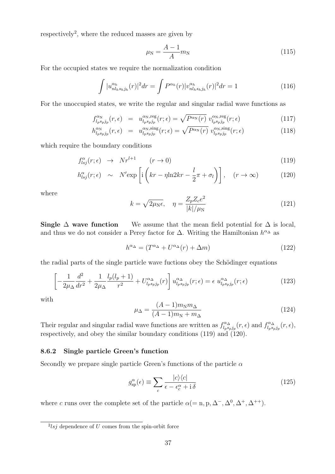respectively<sup>2</sup>, where the reduced masses are given by

$$
\mu_{\rm N} = \frac{A - 1}{A} m_{\rm N} \tag{115}
$$

For the occupied states we require the normalization condition

$$
\int |u_{nl_{h}s_{h}j_{h}}^{\alpha_{h}}(r)|^{2} dr = \int P^{\alpha_{h}}(r) |v_{nl_{h}s_{h}j_{h}}^{\alpha_{h}}(r)|^{2} dr = 1
$$
\n(116)

For the unoccupied states, we write the regular and singular radial wave functions as

$$
f_{l_p s_p j_p}^{\alpha_{\rm N}}(r,\epsilon) = u_{l_p s_p j_p}^{\alpha_{\rm N}, \text{reg}}(r;\epsilon) = \sqrt{P^{\alpha_{\rm N}}(r)} v_{l_p s_p j_p}^{\alpha_{\rm N}, \text{reg}}(r;\epsilon)
$$
(117)

$$
h_{l_p s_p j_p}^{\alpha_{\rm N}}(r,\epsilon) = u_{l_p s_p j_p}^{\alpha_{\rm N}, \text{sing}}(r;\epsilon) = \sqrt{P^{\alpha_{\rm N}}(r)} \ v_{l_p s_p j_p}^{\alpha_{\rm N}, \text{sing}}(r;\epsilon) \tag{118}
$$

which require the boundary conditions

$$
f_{lsj}^{\alpha}(r;\epsilon) \rightarrow Nr^{l+1} \qquad (r \rightarrow 0) \tag{119}
$$

$$
h_{lsj}^{\alpha}(r;\epsilon) \sim N' \exp\left[i\left(kr - \eta \ln 2kr - \frac{l}{2}\pi + \sigma_l\right)\right], \quad (r \to \infty)
$$
 (120)

where

$$
k = \sqrt{2\mu_{\rm N}\epsilon}, \quad \eta = \frac{Z_p Z_c e^2}{|k|/\mu_{\rm N}}\tag{121}
$$

Single  $\Delta$  **wave function** We assume that the mean field potential for  $\Delta$  is local, and thus we do not consider a Perey factor for  $\Delta$ . Writing the Hamiltonian  $h^{\alpha_{\Delta}}$  as

$$
h^{\alpha_{\Delta}} = (T^{\alpha_{\Delta}} + U^{\alpha_{\Delta}}(r) + \Delta m) \tag{122}
$$

the radial parts of the single particle wave fuctions obey the Schödinger equations

$$
\left[ -\frac{1}{2\mu_{\Delta}} \frac{d^2}{dr^2} + \frac{1}{2\mu_{\Delta}} \frac{l_p(l_p+1)}{r^2} + U_{l_p s_p j_p}^{\alpha_{\Delta}}(r) \right] u_{l_p s_p j_p}^{\alpha_{\Delta}}(r; \epsilon) = \epsilon u_{l_p s_p j_p}^{\alpha_{\Delta}}(r; \epsilon)
$$
(123)

with

$$
\mu_{\Delta} = \frac{(A-1)m_N m_{\Delta}}{(A-1)m_N + m_{\Delta}}\tag{124}
$$

Their regular and singular radial wave functions are written as  $f_{l,s}^{\alpha_{\Delta}}$  $f_{l_p s_p j_p}^{\alpha}$  (*r,*  $\epsilon$ ) and  $f_{l_p s_p}^{\alpha}$  $\frac{d\alpha_{\Delta}}{l_{p}s_{p}j_{p}}(r,\epsilon),$ respectively, and obey the similar boundary conditions (119) and (120).

#### **8.6.2 Single particle Green's function**

Secondly we prepare single particle Green's functions of the particle *α*

$$
g_{\rm sp}^{\alpha}(\epsilon) \equiv \sum_{c} \frac{|c\rangle\langle c|}{\epsilon - \epsilon_{c}^{\alpha} + \mathrm{i}\,\delta} \tag{125}
$$

where *c* runs over the complete set of the particle  $\alpha (= n, p, \Delta^-, \Delta^0, \Delta^+, \Delta^{++}).$ 

 $2$ lsj dependence of *U* comes from the spin-orbit force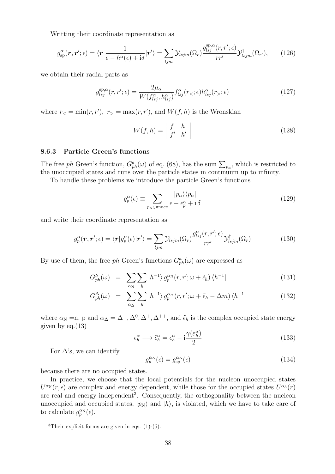Writting their coordinate representation as

$$
g_{\rm sp}^{\alpha}(\boldsymbol{r},\boldsymbol{r}';\epsilon) = \langle \boldsymbol{r} | \frac{1}{\epsilon - h^{\alpha}(\epsilon) + \mathrm{i} \delta} | \boldsymbol{r}' \rangle = \sum_{ljm} \mathcal{Y}_{lsjm}(\Omega_r) \frac{g_{lsj}^{\rm sp,\alpha}(r,r';\epsilon)}{rr'} \mathcal{Y}_{lsjm}^{\dagger}(\Omega_{r'}), \qquad (126)
$$

we obtain their radial parts as

$$
g_{lsj}^{\rm sp,\alpha}(r,r';\epsilon) = \frac{2\mu_{\alpha}}{W(f_{lsj}^{\alpha}, h_{lsj}^{\alpha})} f_{lsj}^{\alpha}(r_{<};\epsilon) h_{lsj}^{\alpha}(r_{>};\epsilon)
$$
\n(127)

where  $r_{\leq} = \min(r, r')$ ,  $r_{\geq} = \max(r, r')$ , and  $W(f, h)$  is the Wronskian

$$
W(f, h) = \begin{vmatrix} f & h \\ f' & h' \end{vmatrix}
$$
 (128)

#### **8.6.3 Particle Green's functions**

The free *ph* Green's function,  $G_{ph}^a(\omega)$  of eq. (68), has the sum  $\sum_{p_\alpha}$ , which is restricted to the unoccupied states and runs over the particle states in continuum up to infinity.

To handle these problems we introduce the particle Green's functions

$$
g_p^{\alpha}(\epsilon) \equiv \sum_{p_{\alpha} \in \text{unocc}} \frac{|p_{\alpha}\rangle \langle p_{\alpha}|}{\epsilon - \epsilon_p^{\alpha} + \mathrm{i} \,\delta} \tag{129}
$$

and write their coordinate representation as

$$
g_p^{\alpha}(\mathbf{r}, \mathbf{r}'; \epsilon) = \langle \mathbf{r} | g_p^{\alpha}(\epsilon) | \mathbf{r}' \rangle = \sum_{ljm} \mathcal{Y}_{lsjm}(\Omega_r) \frac{g_{lsj}^{\alpha}(r, r'; \epsilon)}{rr'} \mathcal{Y}_{lsjm}^{\dagger}(\Omega_r)
$$
(130)

By use of them, the free *ph* Green's functions  $G_{ph}^a(\omega)$  are expressed as

$$
G_{ph}^{\rm N}(\omega) = \sum_{\alpha_{\rm N}} \sum_{h} |h^{-1} \rangle g_p^{\alpha_{\rm N}}(r, r'; \omega + \tilde{\epsilon}_h) \langle h^{-1}| \qquad (131)
$$

$$
G_{ph}^{\Delta}(\omega) = \sum_{\alpha_{\Delta}} \sum_{h} |h^{-1} \rangle g_p^{\alpha_{\Delta}}(r, r'; \omega + \tilde{\epsilon}_h - \Delta m) \langle h^{-1}| \qquad (132)
$$

where  $\alpha_N = n$ , p and  $\alpha_\Delta = \Delta^-, \Delta^0, \Delta^+, \Delta^{++}$ , and  $\tilde{\epsilon}_h$  is the complex occupied state energy given by eq. $(13)$ 

$$
\epsilon_h^{\alpha} \longrightarrow \tilde{\epsilon}_h^{\alpha} = \epsilon_h^{\alpha} - i \frac{\gamma(\varepsilon_h^{\alpha})}{2}
$$
\n(133)

For  $\Delta$ 's, we can identify

$$
g_p^{\alpha_{\Delta}}(\epsilon) = g_{\rm sp}^{\alpha_{\Delta}}(\epsilon) \tag{134}
$$

because there are no occupied states.

In practice, we choose that the local potentials for the nucleon unoccupied states  $U^{\alpha}$ <sup>N</sup> $(r, \epsilon)$  are complex and energy dependent, while those for the occupied states  $U^{\alpha}$ <sup>h</sup> $(r)$ are real and energy independent<sup>3</sup>. Consequently, the orthogonality between the nucleon unoccupied and occupied states,  $|p_N\rangle$  and  $|h\rangle$ , is violated, which we have to take care of to calculate  $g_p^{\alpha_N}(\epsilon)$ .

<sup>&</sup>lt;sup>3</sup>Their explicit forms are given in eqs.  $(1)-(6)$ .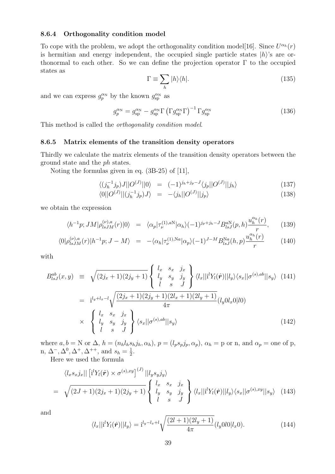#### **8.6.4 Orthogonality condition model**

To cope with the problem, we adopt the orthogonality condition model[16]. Since  $U^{\alpha_h}(r)$ is hermitian and energy independent, the occupied single particle states *|h⟩*'s are orthonormal to each other. So we can define the projection operator  $\Gamma$  to the occupied states as

$$
\Gamma \equiv \sum_{h} |h\rangle\langle h|.\tag{135}
$$

and we can express  $g_p^{\alpha_N}$  by the known  $g_{sp}^{\alpha_N}$  as

$$
g_p^{\alpha_N} = g_{\rm sp}^{\alpha_N} - g_{\rm sp}^{\alpha_N} \Gamma \left( \Gamma g_{\rm sp}^{\alpha_N} \Gamma \right)^{-1} \Gamma g_{\rm sp}^{\alpha_N} \tag{136}
$$

This method is called the *orthogonality condition model*.

#### **8.6.5 Matrix elements of the transition density operators**

Thirdly we calculate the matrix elements of the transition density operators between the ground state and the *ph* states.

Noting the formulas given in eq. (3B-25) of [11],

$$
\langle (j_h^{-1}j_p)J||O^{(J)}||0\rangle = (-1)^{j_h+j_p-J}\langle j_p||O^{(J)}||j_h\rangle \tag{137}
$$

$$
\langle 0||O^{(J)}||(j_h^{-1}j_p)J\rangle = -\langle j_h||O^{(J)}||j_p\rangle \tag{138}
$$

we obtain the expression

$$
\langle h^{-1}p; JM|\rho_{lsJM}^{(\nu),a}(r)|0\rangle = \langle \alpha_p|\tau_{\nu}^{(1),aN}|\alpha_h\rangle(-1)^{j_p+j_h-J}B_{lsJ}^{aN}(p,h)\frac{u_h^{\alpha_h}(r)}{r}, \quad (139)
$$

$$
\langle 0|\rho_{lsJM}^{(\nu),a}(r)|h^{-1}p;J-M\rangle = -\langle \alpha_h|\tau_{\nu}^{(1),Na}|\alpha_p\rangle(-1)^{J-M}B_{lsJ}^{Na}(h,p)\frac{u_h^{\alpha_h}(r)}{r}
$$
(140)

with

$$
B_{lsJ}^{ab}(x,y) \equiv \sqrt{(2j_x+1)(2j_y+1)} \begin{cases} l_x & s_x & j_x \\ l_y & s_y & j_y \\ l & s & J \end{cases} \langle l_x ||i^l Y_l(\hat{\boldsymbol{r}})||l_y \rangle \langle s_x || \sigma^{(s),ab} || s_y \rangle \quad (141)
$$
  

$$
= i^{l_y+l_x-l} \sqrt{\frac{(2j_x+1)(2j_y+1)(2l_x+1)(2l_y+1)}{4\pi}} (l_y 0l_x 0|l0)
$$
  

$$
\times \begin{cases} l_x & s_x & j_x \\ l_y & s_y & j_y \\ l & s & J \end{cases} \langle s_x || \sigma^{(s),ab} || s_y \rangle \qquad (142)
$$

where  $a, b = N$  or  $\Delta$ ,  $h = (n_h l_h s_h j_h, \alpha_h)$ ,  $p = (l_p s_p j_p, \alpha_p)$ ,  $\alpha_h = p$  or n, and  $\alpha_p =$  one of p, n,  $\Delta^{-}$ ,  $\Delta^{0}$ ,  $\Delta^{+}$ ,  $\Delta^{++}$ , and  $s_h = \frac{1}{2}$  $\frac{1}{2}$ .

Here we used the formula

$$
\langle l_x s_x j_x || [i^l Y_l(\hat{\boldsymbol{r}}) \times \sigma^{(s),xy}]^{(J)} || l_y s_y j_y \rangle
$$
  
=  $\sqrt{(2J+1)(2j_x+1)(2j_y+1)} \begin{cases} l_x & s_x & j_x \\ l_y & s_y & j_y \\ l & s & J \end{cases} \langle l_x || i^l Y_l(\hat{\boldsymbol{r}}) || l_y \rangle \langle s_x || \sigma^{(s),xy} || s_y \rangle$  (143)

and

$$
\langle l_x || \mathbf{i}^l Y_l(\hat{\boldsymbol{r}}) || l_y \rangle = \mathbf{i}^{l_y - l_x + l} \sqrt{\frac{(2l+1)(2l_y + 1)}{4\pi}} (l_y 0 l 0 | l_x 0).
$$
 (144)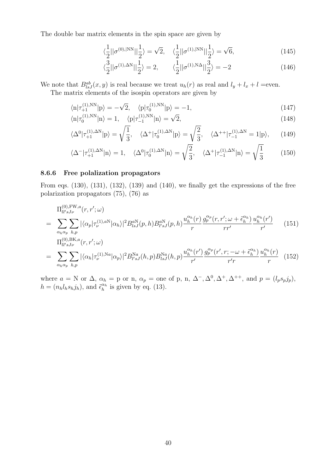The double bar matrix elements in the spin space are given by

$$
\langle \frac{1}{2} || \sigma^{(0),|NN} || \frac{1}{2} \rangle = \sqrt{2}, \quad \langle \frac{1}{2} || \sigma^{(1),|NN} || \frac{1}{2} \rangle = \sqrt{6}, \tag{145}
$$

$$
\langle \frac{3}{2} || \sigma^{(1),\Delta N} || \frac{1}{2} \rangle = 2, \qquad \langle \frac{1}{2} || \sigma^{(1),\mathrm{N}\Delta} || \frac{3}{2} \rangle = -2 \tag{146}
$$

We note that  $B_{ls}^{ab}(x, y)$  is real because we treat  $u_h(r)$  as real and  $l_y + l_x + l$  =even.

The matrix elements of the isospin operators are given by

$$
\langle \mathbf{n} | \tau_{+1}^{(1),\text{NN}} | \mathbf{p} \rangle = -\sqrt{2}, \quad \langle \mathbf{p} | \tau_0^{(1),\text{NN}} | \mathbf{p} \rangle = -1,\tag{147}
$$

$$
\langle n|\tau_0^{(1),NN}|n\rangle = 1, \quad \langle p|\tau_{-1}^{(1),NN}|n\rangle = \sqrt{2},
$$
\n
$$
\sqrt{1}, \quad \sqrt{2}, \quad \sqrt{2}, \quad \sqrt{2}, \quad \sqrt{2}, \quad \sqrt{2}, \quad \sqrt{2}, \quad \sqrt{2}, \quad \sqrt{2}, \quad \sqrt{2}, \quad \sqrt{2}, \quad \sqrt{2}, \quad \sqrt{2}, \quad \sqrt{2}, \quad \sqrt{2}, \quad \sqrt{2}, \quad \sqrt{2}, \quad \sqrt{2}, \quad \sqrt{2}, \quad \sqrt{2}, \quad \sqrt{2}, \quad \sqrt{2}, \quad \sqrt{2}, \quad \sqrt{2}, \quad \sqrt{2}, \quad \sqrt{2}, \quad \sqrt{2}, \quad \sqrt{2}, \quad \sqrt{2}, \quad \sqrt{2}, \quad \sqrt{2}, \quad \sqrt{2}, \quad \sqrt{2}, \quad \sqrt{2}, \quad \sqrt{2}, \quad \sqrt{2}, \quad \sqrt{2}, \quad \sqrt{2}, \quad \sqrt{2}, \quad \sqrt{2}, \quad \sqrt{2}, \quad \sqrt{2}, \quad \sqrt{2}, \quad \sqrt{2}, \quad \sqrt{2}, \quad \sqrt{2}, \quad \sqrt{2}, \quad \sqrt{2}, \quad \sqrt{2}, \quad \sqrt{2}, \quad \sqrt{2}, \quad \sqrt{2}, \quad \sqrt{2}, \quad \sqrt{2}, \quad \sqrt{2}, \quad \sqrt{2}, \quad \sqrt{2}, \quad \sqrt{2}, \quad \sqrt{2}, \quad \sqrt{2}, \quad \sqrt{2}, \quad \sqrt{2}, \quad \sqrt{2}, \quad \sqrt{2}, \quad \sqrt{2}, \quad \sqrt{2}, \quad \sqrt{2}, \quad \sqrt{2}, \quad \sqrt{2}, \quad \sqrt{2}, \quad \sqrt{2}, \quad \sqrt{2}, \quad \sqrt{2}, \quad \sqrt{2}, \quad \sqrt{2}, \quad \sqrt{2}, \quad \sqrt{2}, \quad \sqrt{2}, \quad \sqrt{2}, \quad \sqrt{2}, \quad \sqrt{2}, \quad \sqrt{2}, \quad \sqrt{2}, \quad \sqrt{2}, \quad \sqrt{2}, \quad \sqrt{2}, \quad \sqrt{2}, \quad \sqrt{2}, \quad \sqrt{2}, \quad \sqrt{2}, \quad \sqrt{2}, \quad \sqrt{2}, \quad \sqrt{2}, \quad \sqrt{2}, \quad \sqrt{2}, \quad \sqrt{2}, \quad \sqrt{2}, \quad \sqrt{2}, \quad \sqrt{2}, \quad \sqrt{2}, \quad \sqrt{2},
$$

$$
\langle \Delta^0 | \tau_{+1}^{(1),\Delta N} | \mathbf{p} \rangle = \sqrt{\frac{1}{3}}, \quad \langle \Delta^+ | \tau_0^{(1),\Delta N} | \mathbf{p} \rangle = \sqrt{\frac{2}{3}}, \quad \langle \Delta^{++} | \tau_{-1}^{(1),\Delta N} = 1 | \mathbf{p} \rangle, \tag{149}
$$

$$
\langle \Delta^{-}|\tau_{+1}^{(1),\Delta N}|n\rangle = 1, \quad \langle \Delta^{0}|\tau_{0}^{(1),\Delta N}|n\rangle = \sqrt{\frac{2}{3}}, \quad \langle \Delta^{+}|\tau_{-1}^{(1),\Delta N}|n\rangle = \sqrt{\frac{1}{3}} \tag{150}
$$

#### **8.6.6 Free polalization propagators**

From eqs. (130), (131), (132), (139) and (140), we finally get the expressions of the free polarization propagators (75), (76) as

$$
\Pi_{ll'sJ\nu}^{(0),FW,a}(r,r';\omega)
$$
\n
$$
= \sum_{\alpha_h\alpha_p} \sum_{h,p} |\langle \alpha_p | \tau_{\nu}^{(1),aN} | \alpha_h \rangle|^2 B_{lsJ}^{aN}(p,h) B_{l'sJ}^{aN}(p,h) \frac{u_h^{\alpha_h}(r)}{r} \frac{g_p^{\alpha_p}(r,r';\omega + \tilde{\epsilon}_h^{\alpha_h})}{r'} \frac{u_h^{\alpha_h}(r')}{r'} \frac{u_h^{\alpha_h}(r')}{r'} \frac{u_h^{\alpha_h}(r')}{r'} \frac{u_h^{\alpha_h}(r')}{r'} \frac{u_h^{\alpha_h}(r')}{r'} \frac{u_h^{\alpha_h}(r')}{r'} \frac{u_h^{\alpha_h}(r')}{r'} \frac{u_h^{\alpha_h}(r')}{r'} \frac{u_h^{\alpha_h}(r)}{r'} \frac{u_h^{\alpha_h}(r)}{r} \frac{u_h^{\alpha_h}(r)}{r'} \frac{u_h^{\alpha_h}(r)}{r'} \frac{u_h^{\alpha_h}(r)}{r'} \frac{u_h^{\alpha_h}(r)}{r'} \frac{u_h^{\alpha_h}(r)}{r'} \frac{u_h^{\alpha_h}(r)}{r'} \frac{u_h^{\alpha_h}(r)}{r'} \frac{u_h^{\alpha_h}(r)}{r'} \frac{u_h^{\alpha_h}(r)}{r'} \frac{u_h^{\alpha_h}(r)}{r'} \frac{u_h^{\alpha_h}(r')}{r'} \frac{u_h^{\alpha_h}(r')}{r'} \frac{u_h^{\alpha_h}(r')}{r'} \frac{u_h^{\alpha_h}(r')}{r'} \frac{u_h^{\alpha_h}(r')}{r'} \frac{u_h^{\alpha_h}(r')}{r'} \frac{u_h^{\alpha_h}(r')}{r'} \frac{u_h^{\alpha_h}(r')}{r'} \frac{u_h^{\alpha_h}(r')}{r'} \frac{u_h^{\alpha_h}(r')}{r'} \frac{u_h^{\alpha_h}(r')}{r'} \frac{u_h^{\alpha_h}(r')}{r'} \frac{u_h^{\alpha_h}(r')}{r'} \frac{u_h^{\alpha_h}(r')}{r'} \frac{u_h^{\alpha_h}(r')}{r'} \frac{u_h^{\alpha_h}(r')}{r'} \frac{u_h^{\alpha_h}(r')}{r'} \frac{u_h^{\alpha_h}(r')}{r'} \frac{u_h^{\alpha_h}(r')}{r'} \frac{u_h^{\alpha_h}(r')}{r'} \frac{u_h^{\alpha_h}(r')}{r
$$

where  $a = N$  or  $\Delta$ ,  $\alpha_h = p$  or n,  $\alpha_p =$  one of p, n,  $\Delta^-, \Delta^0, \Delta^+, \Delta^{++}$ , and  $p = (l_p s_p j_p)$ ,  $h = (n_h l_h s_h j_h)$ , and  $\tilde{\epsilon}_h^{\alpha_h}$  is given by eq. (13).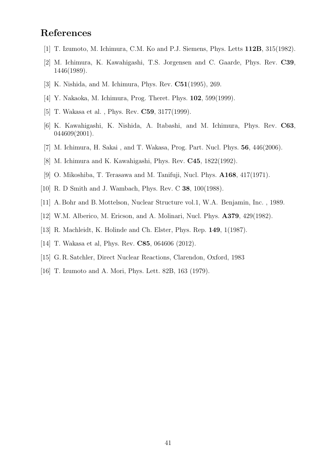## **References**

- [1] T. Izumoto, M. Ichimura, C.M. Ko and P.J. Siemens, Phys. Letts **112B**, 315(1982).
- [2] M. Ichimura, K. Kawahigashi, T.S. Jorgensen and C. Gaarde, Phys. Rev. **C39**, 1446(1989).
- [3] K. Nishida, and M. Ichimura, Phys. Rev. **C51**(1995), 269.
- [4] Y. Nakaoka, M. Ichimura, Prog. Theret. Phys. **102**, 599(1999).
- [5] T. Wakasa et al. , Phys. Rev. **C59**, 3177(1999).
- [6] K. Kawahigashi, K. Nishida, A. Itabashi, and M. Ichimura, Phys. Rev. **C63**, 044609(2001).
- [7] M. Ichimura, H. Sakai , and T. Wakasa, Prog. Part. Nucl. Phys. **56**, 446(2006).
- [8] M. Ichimura and K. Kawahigashi, Phys. Rev. **C45**, 1822(1992).
- [9] O. Mikoshiba, T. Terasawa and M. Tanifuji, Nucl. Phys. **A168**, 417(1971).
- [10] R. D Smith and J. Wambach, Phys. Rev. C **38**, 100(1988).
- [11] A. Bohr and B. Mottelson, Nuclear Structure vol.1, W.A. Benjamin, Inc. , 1989.
- [12] W.M. Alberico, M. Ericson, and A. Molinari, Nucl. Phys. **A379**, 429(1982).
- [13] R. Machleidt, K. Holinde and Ch. Elster, Phys. Rep. **149**, 1(1987).
- [14] T. Wakasa et al, Phys. Rev. **C85**, 064606 (2012).
- [15] G. R. Satchler, Direct Nuclear Reactions, Clarendon, Oxford, 1983
- [16] T. Izumoto and A. Mori, Phys. Lett. 82B, 163 (1979).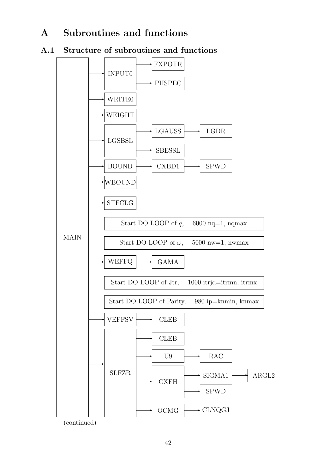## **A Subroutines and functions**

## **A.1 Structure of subroutines and functions**

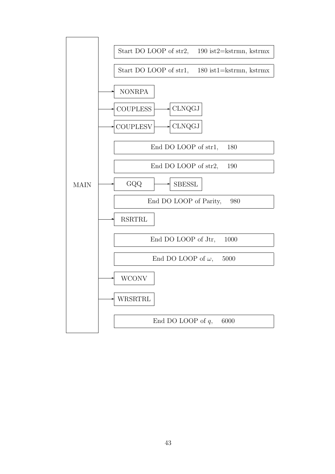